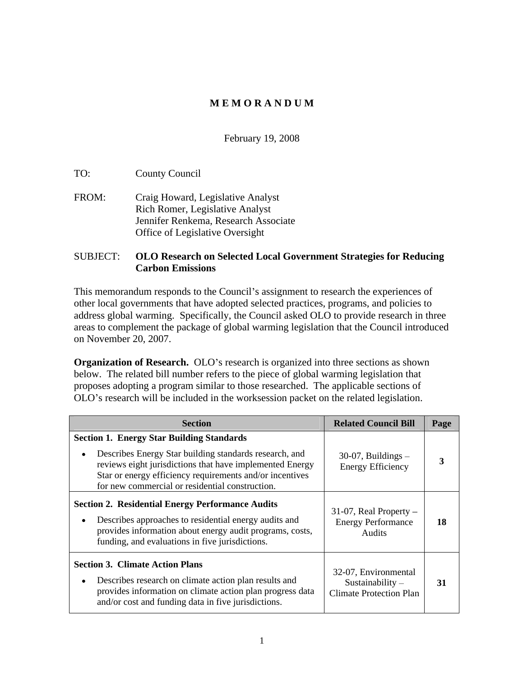#### **M E M O R A N D U M**

#### February 19, 2008

TO: County Council

FROM: Craig Howard, Legislative Analyst Rich Romer, Legislative Analyst Jennifer Renkema, Research Associate Office of Legislative Oversight

#### SUBJECT: **OLO Research on Selected Local Government Strategies for Reducing Carbon Emissions**

This memorandum responds to the Council's assignment to research the experiences of other local governments that have adopted selected practices, programs, and policies to address global warming. Specifically, the Council asked OLO to provide research in three areas to complement the package of global warming legislation that the Council introduced on November 20, 2007.

**Organization of Research.** OLO's research is organized into three sections as shown below. The related bill number refers to the piece of global warming legislation that proposes adopting a program similar to those researched. The applicable sections of OLO's research will be included in the worksession packet on the related legislation.

| <b>Section</b>                                                                                                                                                                                                                      | <b>Related Council Bill</b>                                                  | Page |
|-------------------------------------------------------------------------------------------------------------------------------------------------------------------------------------------------------------------------------------|------------------------------------------------------------------------------|------|
| <b>Section 1. Energy Star Building Standards</b>                                                                                                                                                                                    |                                                                              |      |
| • Describes Energy Star building standards research, and<br>reviews eight jurisdictions that have implemented Energy<br>Star or energy efficiency requirements and/or incentives<br>for new commercial or residential construction. | $30-07$ , Buildings –<br><b>Energy Efficiency</b>                            |      |
| <b>Section 2. Residential Energy Performance Audits</b><br>• Describes approaches to residential energy audits and<br>provides information about energy audit programs, costs,<br>funding, and evaluations in five jurisdictions.   | $31-07$ , Real Property –<br><b>Energy Performance</b><br>Audits             | 18   |
| <b>Section 3. Climate Action Plans</b><br>• Describes research on climate action plan results and<br>provides information on climate action plan progress data<br>and/or cost and funding data in five jurisdictions.               | 32-07, Environmental<br>Sustainability $-$<br><b>Climate Protection Plan</b> | 31   |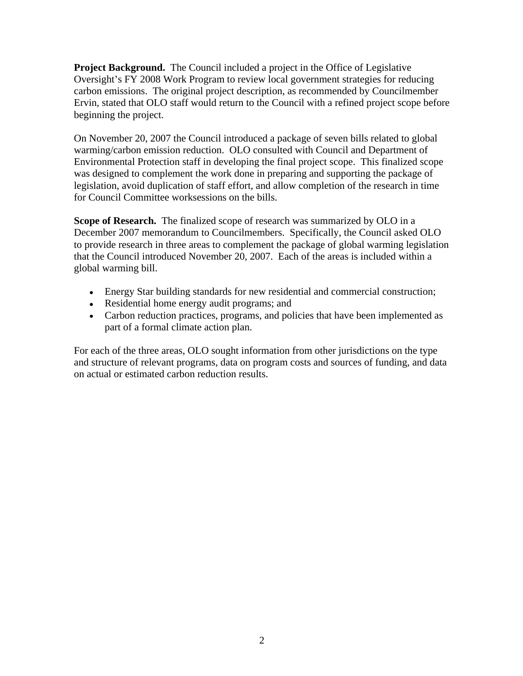**Project Background.** The Council included a project in the Office of Legislative Oversight's FY 2008 Work Program to review local government strategies for reducing carbon emissions. The original project description, as recommended by Councilmember Ervin, stated that OLO staff would return to the Council with a refined project scope before beginning the project.

On November 20, 2007 the Council introduced a package of seven bills related to global warming/carbon emission reduction. OLO consulted with Council and Department of Environmental Protection staff in developing the final project scope. This finalized scope was designed to complement the work done in preparing and supporting the package of legislation, avoid duplication of staff effort, and allow completion of the research in time for Council Committee worksessions on the bills.

**Scope of Research.** The finalized scope of research was summarized by OLO in a December 2007 memorandum to Councilmembers. Specifically, the Council asked OLO to provide research in three areas to complement the package of global warming legislation that the Council introduced November 20, 2007. Each of the areas is included within a global warming bill.

- Energy Star building standards for new residential and commercial construction;
- Residential home energy audit programs; and
- Carbon reduction practices, programs, and policies that have been implemented as part of a formal climate action plan.

For each of the three areas, OLO sought information from other jurisdictions on the type and structure of relevant programs, data on program costs and sources of funding, and data on actual or estimated carbon reduction results.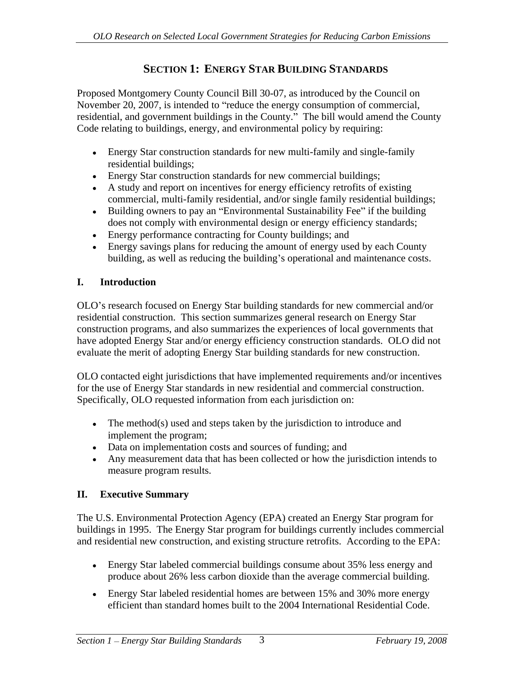# **SECTION 1: ENERGY STAR BUILDING STANDARDS**

Proposed Montgomery County Council Bill 30-07, as introduced by the Council on November 20, 2007, is intended to "reduce the energy consumption of commercial, residential, and government buildings in the County." The bill would amend the County Code relating to buildings, energy, and environmental policy by requiring:

- Energy Star construction standards for new multi-family and single-family residential buildings;
- Energy Star construction standards for new commercial buildings;
- A study and report on incentives for energy efficiency retrofits of existing commercial, multi-family residential, and/or single family residential buildings;
- Building owners to pay an "Environmental Sustainability Fee" if the building does not comply with environmental design or energy efficiency standards;
- Energy performance contracting for County buildings; and
- Energy savings plans for reducing the amount of energy used by each County building, as well as reducing the building's operational and maintenance costs.

## **I. Introduction**

OLO's research focused on Energy Star building standards for new commercial and/or residential construction. This section summarizes general research on Energy Star construction programs, and also summarizes the experiences of local governments that have adopted Energy Star and/or energy efficiency construction standards. OLO did not evaluate the merit of adopting Energy Star building standards for new construction. OLO contacted eight jurisdictions that have implemented requirements and/or incentives

for the use of Energy Star standards in new residential and commercial construction. Specifically, OLO requested information from each jurisdiction on:

- The method(s) used and steps taken by the jurisdiction to introduce and implement the program;
- Data on implementation costs and sources of funding; and
- Any measurement data that has been collected or how the jurisdiction intends to measure program results.

## **II. Executive Summary**

The U.S. Environmental Protection Agency (EPA) created an Energy Star program for buildings in 1995. The Energy Star program for buildings currently includes commercial and residential new construction, and existing structure retrofits. According to the EPA:

- Energy Star labeled commercial buildings consume about 35% less energy and produce about 26% less carbon dioxide than the average commercial building.
- Energy Star labeled residential homes are between 15% and 30% more energy efficient than standard homes built to the 2004 International Residential Code.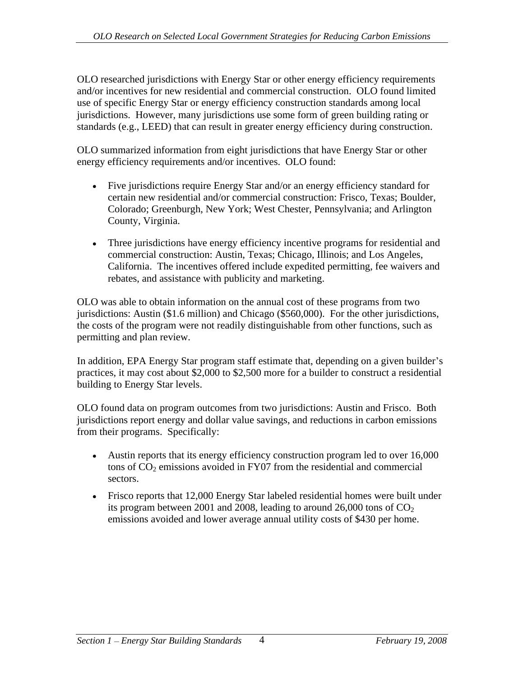OLO researched jurisdictions with Energy Star or other energy efficiency requirements and/or incentives for new residential and commercial construction. OLO found limited use of specific Energy Star or energy efficiency construction standards among local jurisdictions. However, many jurisdictions use some form of green building rating or standards (e.g., LEED) that can result in greater energy efficiency during construction.

OLO summarized information from eight jurisdictions that have Energy Star or other energy efficiency requirements and/or incentives. OLO found:

- Five jurisdictions require Energy Star and/or an energy efficiency standard for certain new residential and/or commercial construction: Frisco, Texas; Boulder, Colorado; Greenburgh, New York; West Chester, Pennsylvania; and Arlington County, Virginia.
- Three jurisdictions have energy efficiency incentive programs for residential and commercial construction: Austin, Texas; Chicago, Illinois; and Los Angeles, California. The incentives offered include expedited permitting, fee waivers and rebates, and assistance with publicity and marketing.

OLO was able to obtain information on the annual cost of these programs from two jurisdictions: Austin (\$1.6 million) and Chicago (\$560,000). For the other jurisdictions, the costs of the program were not readily distinguishable from other functions, such as permitting and plan review.

In addition, EPA Energy Star program staff estimate that, depending on a given builder's practices, it may cost about \$2,000 to \$2,500 more for a builder to construct a residential building to Energy Star levels.

OLO found data on program outcomes from two jurisdictions: Austin and Frisco. Both jurisdictions report energy and dollar value savings, and reductions in carbon emissions from their programs. Specifically:

- Austin reports that its energy efficiency construction program led to over 16,000 tons of  $CO<sub>2</sub>$  emissions avoided in FY07 from the residential and commercial sectors.
- Frisco reports that 12,000 Energy Star labeled residential homes were built under its program between 2001 and 2008, leading to around 26,000 tons of  $CO<sub>2</sub>$ emissions avoided and lower average annual utility costs of \$430 per home.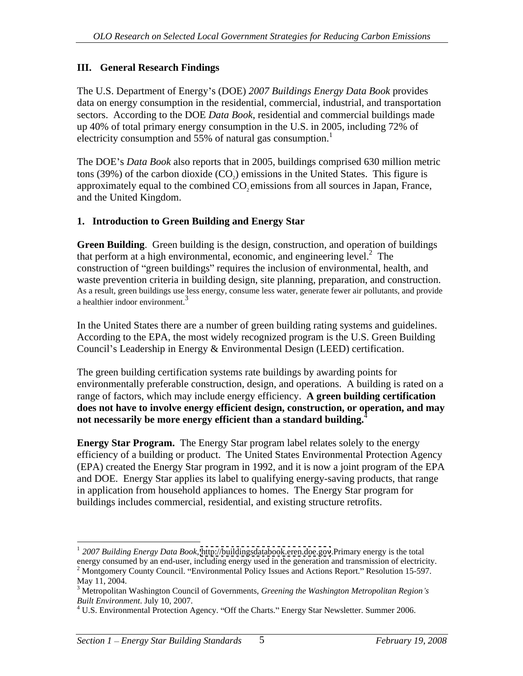#### **III. General Research Findings**

The U.S. Department of Energy s (DOE) *2007 Buildings Energy Data Book* provides data on energy consumption in the residential, commercial, industrial, and transportation sectors. According to the DOE *Data Book*, residential and commercial buildings made up 40% of total primary energy consumption in the U.S. in 2005, including 72% of electricity consumption and 55% of natural gas consumption.<sup>1</sup>

The DOE's *Data Book* also reports that in 2005, buildings comprised 630 million metric tons (39%) of the carbon dioxide  $(CO_2)$  emissions in the United States. This figure is approximately equal to the combined CO<sub>2</sub> emissions from all sources in Japan, France, and the United Kingdom.

#### **1. Introduction to Green Building and Energy Star**

**Green Building**. Green building is the design, construction, and operation of buildings that perform at a high environmental, economic, and engineering level. $<sup>2</sup>$  The</sup> The state of the state of the state of the state of the state of the state of the state of the state of the state of the state of the state of the state of the state of the state of the state of the state of the state of t construction of "green buildings" requires the inclusion of environmental, health, and waste prevention criteria in building design, site planning, preparation, and construction. As a result, green buildings use less energy, consume less water, generate fewer air pollutants, and provide a healthier indoor environment.<sup>3</sup>

In the United States there are a number of green building rating systems and guidelines. According to the EPA, the most widely recognized program is the U.S. Green Building Council's Leadership in Energy & Environmental Design (LEED) certification.

The green building certification systems rate buildings by awarding points for environmentally preferable construction, design, and operations. A building is rated on a range of factors, which may include energy efficiency. **A green building certification does not have to involve energy efficient design, construction, or operation, and may not necessarily be more energy efficient than a standard building.**<sup>4</sup>

**Energy Star Program.** The Energy Star program label relates solely to the energy efficiency of a building or product. The United States Environmental Protection Agency (EPA) created the Energy Star program in 1992, and it is now a joint program of the EPA and DOE. Energy Star applies its label to qualifying energy-saving products, that range in application from household appliances to homes. The Energy Star program for buildings includes commercial, residential, and existing structure retrofits.

 <sup>1</sup> *2007 Building Energy Data Book*,<http://buildingsdatabook.eren.doe.gov>.Primary energy is the total energy consumed by an end-user, including energy used in the generation and transmission of electricity.<br><sup>2</sup> Montgomery County Council. "Environmental Policy Issues and Actions Report." Resolution 15-597.

May 11, 2004. <sup>3</sup> Metropolitan Washington Council of Governments, *Greening the Washington Metropolitan Region s*

*Built Environment*. July 10, 2007.<br><sup>4</sup> U.S. Environmental Protection Agency. ''Off the Charts.'' Energy Star Newsletter. Summer 2006.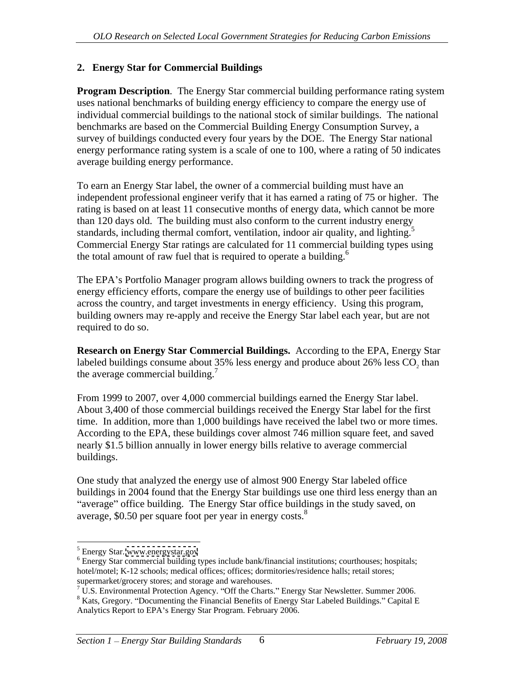#### **2. Energy Star for Commercial Buildings**

**Program Description.** The Energy Star commercial building performance rating system uses national benchmarks of building energy efficiency to compare the energy use of individual commercial buildings to the national stock of similar buildings. The national benchmarks are based on the Commercial Building Energy Consumption Survey, a survey of buildings conducted every four years by the DOE. The Energy Star national energy performance rating system is a scale of one to 100, where a rating of 50 indicates average building energy performance.

To earn an Energy Star label, the owner of a commercial building must have an independent professional engineer verify that it has earned a rating of 75 or higher. The rating is based on at least 11 consecutive months of energy data, which cannot be more than 120 days old. The building must also conform to the current industry energy standards, including thermal comfort, ventilation, indoor air quality, and lighting.<sup>5</sup> Commercial Energy Star ratings are calculated for 11 commercial building types using the total amount of raw fuel that is required to operate a building.<sup>6</sup>

The EPA's Portfolio Manager program allows building owners to track the progress of energy efficiency efforts, compare the energy use of buildings to other peer facilities across the country, and target investments in energy efficiency. Using this program, building owners may re-apply and receive the Energy Star label each year, but are not required to do so.

**Research on Energy Star Commercial Buildings.** According to the EPA, Energy Star labeled buildings consume about  $35\%$  less energy and produce about  $26\%$  less CO<sub>2</sub> than the average commercial building.<sup>7</sup>

 From 1999 to 2007, over 4,000 commercial buildings earned the Energy Star label. About 3,400 of those commercial buildings received the Energy Star label for the first time. In addition, more than 1,000 buildings have received the label two or more times. According to the EPA, these buildings cover almost 746 million square feet, and saved nearly \$1.5 billion annually in lower energy bills relative to average commercial

buildings.<br>One study that analyzed the energy use of almost 900 Energy Star labeled office buildings in 2004 found that the Energy Star buildings use one third less energy than an "average" office building. The Energy Star office buildings in the study saved, on average, \$0.50 per square foot per year in energy costs.<sup>8</sup>

 $\frac{5}{5}$  Energy Star www.operayster.gov Energy Star. [www.energystar.gov](http://www.energystar.gov)

<sup>&</sup>lt;sup>6</sup> Energy Star commercial building types include bank/financial institutions; courthouses; hospitals; hotel/motel; K-12 schools; medical offices; offices; dormitories/residence halls; retail stores;

supermarket/grocery stores; and storage and warehouses.<br><sup>7</sup> U.S. Environmental Protection Agency. ''Off the Charts.'' Energy Star Newsletter. Summer 2006.<br><sup>8</sup> Kats, Gregory. ''Documenting the Financial Benefits of Energy S

Analytics Report to EPA's Energy Star Program. February 2006.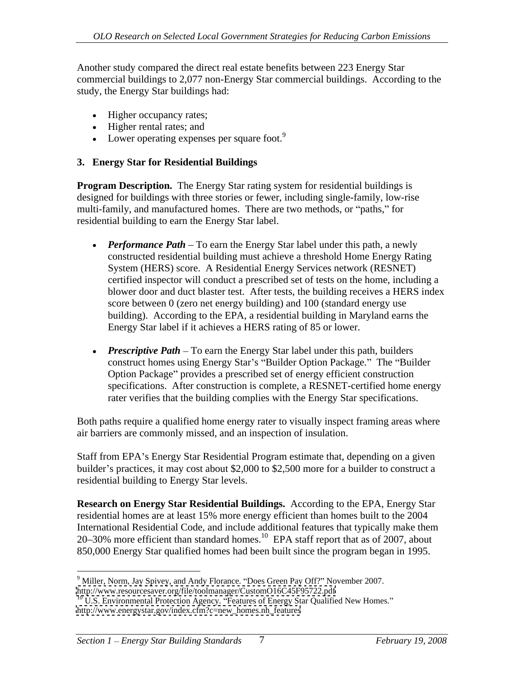Another study compared the direct real estate benefits between 223 Energy Star commercial buildings to 2,077 non-Energy Star commercial buildings. According to the study, the Energy Star buildings had:

- Higher occupancy rates;
- Higher rental rates; and
- $\bullet$  Lower operating expenses per square foot.<sup>9</sup>

#### **3. Energy Star for Residential Buildings**

**Program Description.** The Energy Star rating system for residential buildings is designed for buildings with three stories or fewer, including single-family, low-rise multi-family, and manufactured homes. There are two methods, or "paths," for residential building to earn the Energy Star label.

- *Performance Path* To earn the Energy Star label under this path, a newly constructed residential building must achieve a threshold Home Energy Rating System (HERS) score. A Residential Energy Services network (RESNET) certified inspector will conduct a prescribed set of tests on the home, including a blower door and duct blaster test. After tests, the building receives a HERS index score between 0 (zero net energy building) and 100 (standard energy use building). According to the EPA, a residential building in Maryland earns the Energy Star label if it achieves a HERS rating of 85 or lower.
- *Prescriptive Path* To earn the Energy Star label under this path, builders construct homes using Energy Star's "Builder Option Package." The "Builder Option Package" provides a prescribed set of energy efficient construction specifications. After construction is complete, a RESNET-certified home energy rater verifies that the building complies with the Energy Star specifications.

Both paths require a qualified home energy rater to visually inspect framing areas where air barriers are commonly missed, and an inspection of insulation.

Staff from EPA's Energy Star Residential Program estimate that, depending on a given builder's practices, it may cost about \$2,000 to \$2,500 more for a builder to construct a residential building to Energy Star levels.

**Research on Energy Star Residential Buildings.** According to the EPA, Energy Star residential homes are at least 15% more energy efficient than homes built to the 2004 International Residential Code, and include additional features that typically make them  $20-30\%$  more efficient than standard homes.<sup>10</sup> EPA staff report that as of 2007, about 850,000 Energy Star qualified homes had been built since the program began in 1995.

 $9$  Miller, Norm, Jay Spivey, and Andy Florance. "Does Green Pay Off?" November 2007.

<http://www.resourcesaver.org/file/toolmanager/CustomO16C45F95722.pdf><br><sup>10</sup> U.S. Environmental Protection Agency. "Features of Energy Star Qualified New Homes." [http://www.energystar.gov/index.cfm?c=new\\_homes.nh\\_features](http://www.energystar.gov/index.cfm?c=new_homes.nh_features)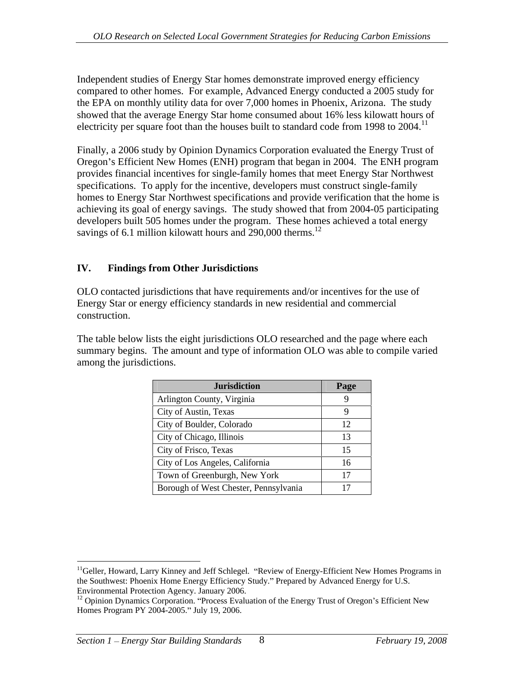Independent studies of Energy Star homes demonstrate improved energy efficiency compared to other homes. For example, Advanced Energy conducted a 2005 study for the EPA on monthly utility data for over 7,000 homes in Phoenix, Arizona. The study showed that the average Energy Star home consumed about 16% less kilowatt hours of electricity per square foot than the houses built to standard code from 1998 to  $2004$ .<sup>11</sup>

Finally, a 2006 study by Opinion Dynamics Corporation evaluated the Energy Trust of Oregon's Efficient New Homes (ENH) program that began in 2004. The ENH program provides financial incentives for single-family homes that meet Energy Star Northwest specifications. To apply for the incentive, developers must construct single-family homes to Energy Star Northwest specifications and provide verification that the home is achieving its goal of energy savings. The study showed that from 2004-05 participating developers built 505 homes under the program. These homes achieved a total energy savings of 6.1 million kilowatt hours and 290,000 therms.<sup>12</sup>

## **IV. Findings from Other Jurisdictions**

OLO contacted jurisdictions that have requirements and/or incentives for the use of Energy Star or energy efficiency standards in new residential and commercial construction.

The table below lists the eight jurisdictions OLO researched and the page where each summary begins. The amount and type of information OLO was able to compile varied among the jurisdictions.

| <b>Jurisdiction</b>                   | Page |
|---------------------------------------|------|
| Arlington County, Virginia            |      |
| City of Austin, Texas                 |      |
| City of Boulder, Colorado             | ∸∸   |
| City of Chicago, Illinois             |      |
| City of Frisco, Texas                 |      |
| City of Los Angeles, California       | 1 V  |
| Town of Greenburgh, New York          |      |
| Borough of West Chester, Pennsylvania |      |

<sup>&</sup>lt;sup>11</sup>Geller, Howard, Larry Kinney and Jeff Schlegel. "Review of Energy-Efficient New Homes Programs in the Southwest: Phoenix Home Energy Efficiency Study. Prepared by Advanced Energy for U.S. Environmental Protection Agency. January 2006.<br><sup>12</sup> Opinion Dynamics Corporation. "Process Evaluation of the Energy Trust of Oregon's Efficient New

Homes Program PY 2004-2005." July 19, 2006.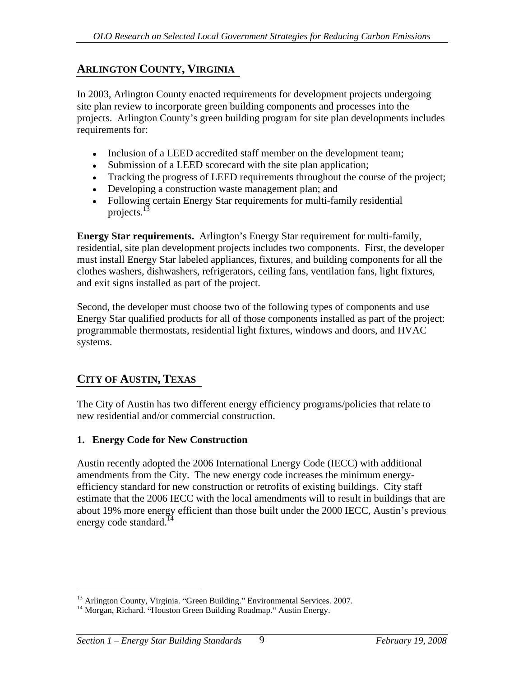# **ARLINGTON COUNTY, VIRGINIA**

In 2003, Arlington County enacted requirements for development projects undergoing site plan review to incorporate green building components and processes into the projects. Arlington County s green building program for site plan developments includes requirements for:

- Inclusion of a LEED accredited staff member on the development team;
- Submission of a LEED scorecard with the site plan application;
- Tracking the progress of LEED requirements throughout the course of the project;
- Developing a construction waste management plan; and
- Following certain Energy Star requirements for multi-family residential projects.<sup>13</sup> projects.<sup>13</sup>

**Energy Star requirements.** Arlington's Energy Star requirement for multi-family, residential, site plan development projects includes two components. First, the developer must install Energy Star labeled appliances, fixtures, and building components for all the clothes washers, dishwashers, refrigerators, ceiling fans, ventilation fans, light fixtures, and exit signs installed as part of the project.

Second, the developer must choose two of the following types of components and use Energy Star qualified products for all of those components installed as part of the project: programmable thermostats, residential light fixtures, windows and doors, and HVAC systems.

# **CITY OF AUSTIN, TEXAS**

The City of Austin has two different energy efficiency programs/policies that relate to new residential and/or commercial construction.

# **1. Energy Code for New Construction**

Austin recently adopted the 2006 International Energy Code (IECC) with additional amendments from the City. The new energy code increases the minimum energy efficiency standard for new construction or retrofits of existing buildings. City staff estimate that the 2006 IECC with the local amendments will to result in buildings that are about 19% more energy efficient than those built under the 2000 IECC, Austin's previous energy code standard.<sup>14</sup>

<sup>&</sup>lt;sup>13</sup> Arlington County, Virginia. "Green Building." Environmental Services. 2007.<br><sup>14</sup> Morgan, Richard. "Houston Green Building Roadmap." Austin Energy.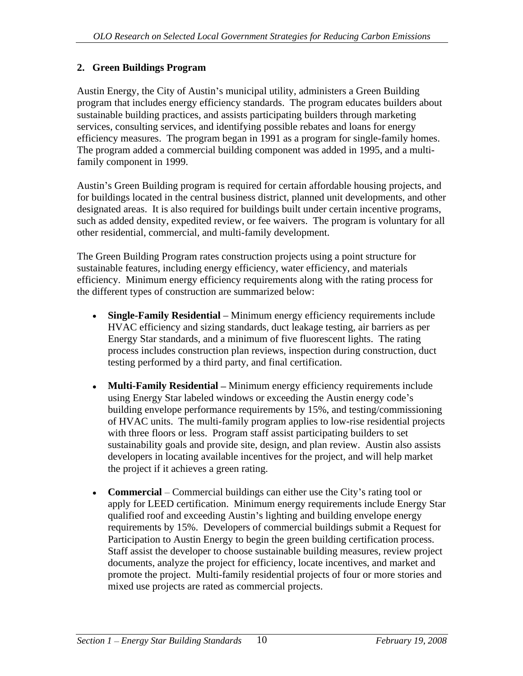#### **2. Green Buildings Program**

Austin Energy, the City of Austin's municipal utility, administers a Green Building program that includes energy efficiency standards. The program educates builders about sustainable building practices, and assists participating builders through marketing services, consulting services, and identifying possible rebates and loans for energy efficiency measures. The program began in 1991 as a program for single-family homes. The program added a commercial building component was added in 1995, and a multifamily component in 1999.

Austin's Green Building program is required for certain affordable housing projects, and for buildings located in the central business district, planned unit developments, and other designated areas. It is also required for buildings built under certain incentive programs, such as added density, expedited review, or fee waivers. The program is voluntary for all other residential, commercial, and multi-family development. The Green Building Program rates construction projects using a point structure for

sustainable features, including energy efficiency, water efficiency, and materials efficiency. Minimum energy efficiency requirements along with the rating process for the different types of construction are summarized below:

- **Single-Family Residential** Minimum energy efficiency requirements include HVAC efficiency and sizing standards, duct leakage testing, air barriers as per Energy Star standards, and a minimum of five fluorescent lights. The rating process includes construction plan reviews, inspection during construction, duct testing performed by a third party, and final certification.
- $\bullet$ **Multi-Family Residential – Minimum energy efficiency requirements include** using Energy Star labeled windows or exceeding the Austin energy code's building envelope performance requirements by 15%, and testing/commissioning of HVAC units. The multi-family program applies to low-rise residential projects with three floors or less. Program staff assist participating builders to set sustainability goals and provide site, design, and plan review. Austin also assists developers in locating available incentives for the project, and will help market the project if it achieves a green rating.
- **Commercial** Commercial buildings can either use the City's rating tool or apply for LEED certification. Minimum energy requirements include Energy Star qualified roof and exceeding Austin's lighting and building envelope energy requirements by 15%. Developers of commercial buildings submit a Request for Participation to Austin Energy to begin the green building certification process. Staff assist the developer to choose sustainable building measures, review project documents, analyze the project for efficiency, locate incentives, and market and promote the project. Multi-family residential projects of four or more stories and mixed use projects are rated as commercial projects.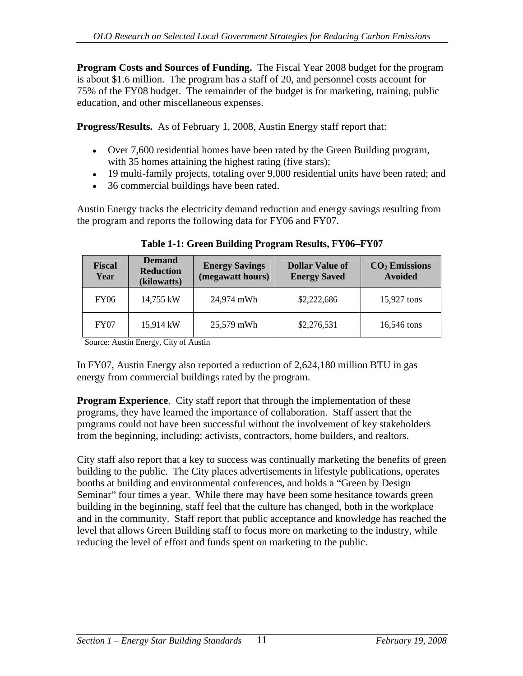**Program Costs and Sources of Funding.** The Fiscal Year 2008 budget for the program is about \$1.6 million. The program has a staff of 20, and personnel costs account for 75% of the FY08 budget. The remainder of the budget is for marketing, training, public education, and other miscellaneous expenses.

**Progress/Results.** As of February 1, 2008, Austin Energy staff report that:

- Over 7,600 residential homes have been rated by the Green Building program, with 35 homes attaining the highest rating (five stars);
- 19 multi-family projects, totaling over 9,000 residential units have been rated; and
- 36 commercial buildings have been rated.

Austin Energy tracks the electricity demand reduction and energy savings resulting from the program and reports the following data for FY06 and FY07.

| <b>Deman</b><br>Fiscal<br>Reduction<br>Year<br>(kilowatts) |            | Energy Savings Dollar Value of CO <sub>2</sub> Emissions (megawatt hours) Energy Saved Avoided<br>(megawatt hours) Energy Saved |             |
|------------------------------------------------------------|------------|---------------------------------------------------------------------------------------------------------------------------------|-------------|
| $\rm vY06$<br>14,755 kW                                    | 24,974 mWh | \$2,222,686                                                                                                                     | 15,927 tons |
| 15,914 kW<br><b>FY07</b>                                   | 25,579 mWh | \$2,276,531                                                                                                                     | 16,546 tons |

**Table 1-1: Green Building Program Results, FY06 FY07**

Source: Austin Energy, City of Austin

In FY07, Austin Energy also reported a reduction of 2,624,180 million BTU in gas energy from commercial buildings rated by the program.

**Program Experience.** City staff report that through the implementation of these programs, they have learned the importance of collaboration. Staff assert that the programs could not have been successful without the involvement of key stakeholders from the beginning, including: activists, contractors, home builders, and realtors.

City staff also report that a key to success was continually marketing the benefits of green building to the public. The City places advertisements in lifestyle publications, operates booths at building and environmental conferences, and holds a "Green by Design Seminar" four times a year. While there may have been some hesitance towards green building in the beginning, staff feel that the culture has changed, both in the workplace and in the community. Staff report that public acceptance and knowledge has reached the level that allows Green Building staff to focus more on marketing to the industry, while reducing the level of effort and funds spent on marketing to the public.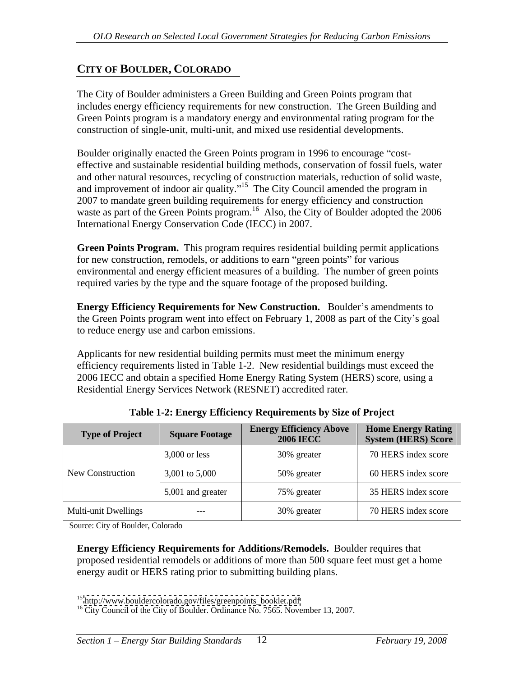# **CITY OF BOULDER, COLORADO**

The City of Boulder administers a Green Building and Green Points program that includes energy efficiency requirements for new construction. The Green Building and Green Points program is a mandatory energy and environmental rating program for the construction of single-unit, multi-unit, and mixed use residential developments.

Boulder originally enacted the Green Points program in 1996 to encourage "costeffective and sustainable residential building methods, conservation of fossil fuels, water and other natural resources, recycling of construction materials, reduction of solid waste, and improvement of indoor air quality."<sup>15</sup> The City Council amended the program in 2007 to mandate green building requirements for energy efficiency and construction waste as part of the Green Points program.<sup>16</sup> Also, the City of Boulder adopted the 2006 International Energy Conservation Code (IECC) in 2007.

**Green Points Program.** This program requires residential building permit applications for new construction, remodels, or additions to earn "green points" for various environmental and energy efficient measures of a building. The number of green points required varies by the type and the square footage of the proposed building.

**Energy Efficiency Requirements for New Construction.** Boulder's amendments to the Green Points program went into effect on February 1, 2008 as part of the City's goal to reduce energy use and carbon emissions.

Applicants for new residential building permits must meet the minimum energy efficiency requirements listed in Table 1-2. New residential buildings must exceed the 2006 IECC and obtain a specified Home Energy Rating System (HERS) score, using a Residential Energy Services Network (RESNET) accredited rater.

| <b>Type of Project</b> | <b>Square Footage</b> | Energy Efficiency Above<br><b>2006 IECC</b> | <b>Home Energy Rating</b><br>System (HERS) Score |
|------------------------|-----------------------|---------------------------------------------|--------------------------------------------------|
|                        | $3,000$ or less       | 30% greater                                 | 70 HERS index score                              |
| New Construction       | $3,001$ to $5,000$    | 50% greater                                 | 60 HERS index score                              |
|                        | 5,001 and greater     | 75% greater                                 | 35 HERS index score                              |
| Multi-unit Dwellings   | $---$                 | 30% greater                                 | 70 HERS index score                              |

**Table 1-2: Energy Efficiency Requirements by Size of Project**

Source: City of Boulder, Colorado

**Energy Efficiency Requirements for Additions/Remodels.** Boulder requires that proposed residential remodels or additions of more than 500 square feet must get a home energy audit or HERS rating prior to submitting building plans.

<sup>&</sup>lt;sup>15</sup> [http://www.bouldercolorado.gov/files/greenpoints\\_booklet.pdf](http://www.bouldercolorado.gov/files/greenpoints_booklet.pdf)  $^{16}$  City Council of the City of Boulder. Ordinance No. 7565. November 13, 2007.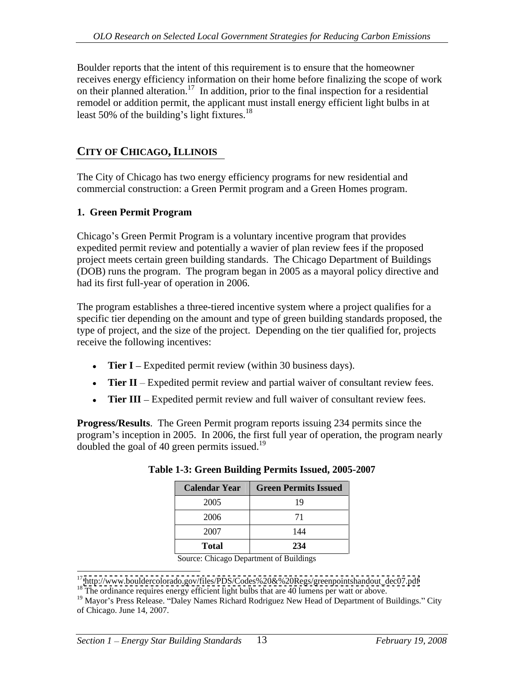Boulder reports that the intent of this requirement is to ensure that the homeowner receives energy efficiency information on their home before finalizing the scope of work on their planned alteration.<sup>17</sup> In addition, prior to the final inspection for a residential remodel or addition permit, the applicant must install energy efficient light bulbs in at least  $50\%$  of the building's light fixtures.<sup>18</sup> least 50% of the building's light fixtures. $18$ 

# **CITY OF CHICAGO, ILLINOIS**

The City of Chicago has two energy efficiency programs for new residential and commercial construction: a Green Permit program and a Green Homes program.

#### **1. Green Permit Program**

Chicago's Green Permit Program is a voluntary incentive program that provides expedited permit review and potentially a wavier of plan review fees if the proposed project meets certain green building standards. The Chicago Department of Buildings (DOB) runs the program. The program began in 2005 as a mayoral policy directive and had its first full-year of operation in 2006.

The program establishes a three-tiered incentive system where a project qualifies for a specific tier depending on the amount and type of green building standards proposed, the type of project, and the size of the project. Depending on the tier qualified for, projects receive the following incentives:

- **Tier I** Expedited permit review (within 30 business days).
- $\bullet$ **Tier II** – Expedited permit review and partial waiver of consultant review fees.
- **Tier III** Expedited permit review and full waiver of consultant review fees.  $\bullet$

**Progress/Results**. The Green Permit program reports issuing 234 permits since the program's inception in 2005. In 2006, the first full year of operation, the program nearly doubled the goal of 40 green permits issued.<sup>19</sup>

|              | Calendar Year   Green Permits Issued |
|--------------|--------------------------------------|
| 2005         |                                      |
| 2006         |                                      |
| 2007         | 144                                  |
| <b>Total</b> | 234                                  |

| Table 1-3: Green Building Permits Issued, 2005-2007 |
|-----------------------------------------------------|
|-----------------------------------------------------|

Source: Chicago Department of Buildings

<sup>&</sup>lt;sup>17</sup> [http://www.bouldercolorado.gov/files/PDS/Codes%20&%20Regs/greenpointshandout\\_dec07.pdf](http://www.bouldercolorado.gov/files/PDS/Codes%20&%20Regs/greenpointshandout_dec07.pdf) <sup>18</sup> The ordinance requires energy efficient light bulbs that are 40 lumens per watt or above.

<sup>&</sup>lt;sup>19</sup> Mayor's Press Release. "Daley Names Richard Rodriguez New Head of Department of Buildings." City of Chicago. June 14, 2007.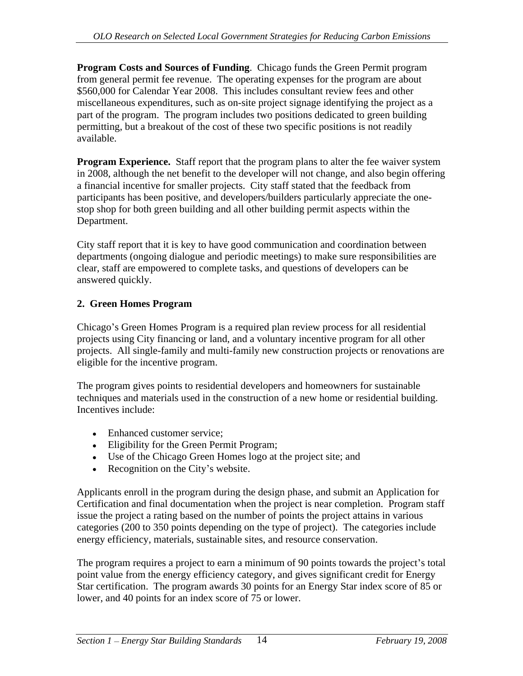**Program Costs and Sources of Funding**. Chicago funds the Green Permit program from general permit fee revenue. The operating expenses for the program are about \$560,000 for Calendar Year 2008. This includes consultant review fees and other miscellaneous expenditures, such as on-site project signage identifying the project as a part of the program. The program includes two positions dedicated to green building permitting, but a breakout of the cost of these two specific positions is not readily available.

**Program Experience.** Staff report that the program plans to alter the fee waiver system in 2008, although the net benefit to the developer will not change, and also begin offering a financial incentive for smaller projects. City staff stated that the feedback from participants has been positive, and developers/builders particularly appreciate the one stop shop for both green building and all other building permit aspects within the Department.

City staff report that it is key to have good communication and coordination between departments (ongoing dialogue and periodic meetings) to make sure responsibilities are clear, staff are empowered to complete tasks, and questions of developers can be answered quickly.

## **2. Green Homes Program**

Chicago's Green Homes Program is a required plan review process for all residential projects using City financing or land, and a voluntary incentive program for all other projects. All single-family and multi-family new construction projects or renovations are eligible for the incentive program.

The program gives points to residential developers and homeowners for sustainable techniques and materials used in the construction of a new home or residential building. Incentives include:

- Enhanced customer service;
- Eligibility for the Green Permit Program;
- Use of the Chicago Green Homes logo at the project site; and
- Recognition on the City's website.

Applicants enroll in the program during the design phase, and submit an Application for Certification and final documentation when the project is near completion. Program staff issue the project a rating based on the number of points the project attains in various categories (200 to 350 points depending on the type of project). The categories include energy efficiency, materials, sustainable sites, and resource conservation.

The program requires a project to earn a minimum of 90 points towards the project's total point value from the energy efficiency category, and gives significant credit for Energy Star certification. The program awards 30 points for an Energy Star index score of 85 or lower, and 40 points for an index score of 75 or lower.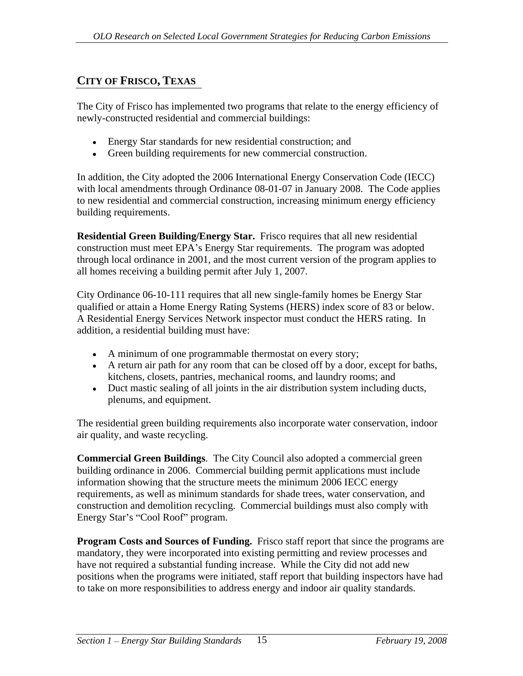# **CITY OF FRISCO, TEXAS**

The City of Frisco has implemented two programs that relate to the energy efficiency of newly-constructed residential and commercial buildings:

- Energy Star standards for new residential construction; and
- Green building requirements for new commercial construction.

In addition, the City adopted the 2006 International Energy Conservation Code (IECC) with local amendments through Ordinance 08-01-07 in January 2008. The Code applies to new residential and commercial construction, increasing minimum energy efficiency building requirements.

**Residential Green Building/Energy Star.** Frisco requires that all new residential construction must meet EPA's Energy Star requirements. The program was adopted through local ordinance in 2001, and the most current version of the program applies to all homes receiving a building permit after July 1, 2007.

City Ordinance 06-10-111 requires that all new single-family homes be Energy Star qualified or attain a Home Energy Rating Systems (HERS) index score of 83 or below. A Residential Energy Services Network inspector must conduct the HERS rating. In addition, a residential building must have:

- A minimum of one programmable thermostat on every story;
- $\bullet$  A return air path for any room that can be closed off by a door, except for baths, kitchens, closets, pantries, mechanical rooms, and laundry rooms; and
- Duct mastic sealing of all joints in the air distribution system including ducts, plenums, and equipment.

The residential green building requirements also incorporate water conservation, indoor air quality, and waste recycling.

**Commercial Green Buildings**. The City Council also adopted a commercial green building ordinance in 2006. Commercial building permit applications must include information showing that the structure meets the minimum 2006 IECC energy requirements, as well as minimum standards for shade trees, water conservation, and construction and demolition recycling. Commercial buildings must also comply with Energy Star's "Cool Roof" program.

**Program Costs and Sources of Funding.** Frisco staff report that since the programs are mandatory, they were incorporated into existing permitting and review processes and have not required a substantial funding increase. While the City did not add new positions when the programs were initiated, staff report that building inspectors have had to take on more responsibilities to address energy and indoor air quality standards.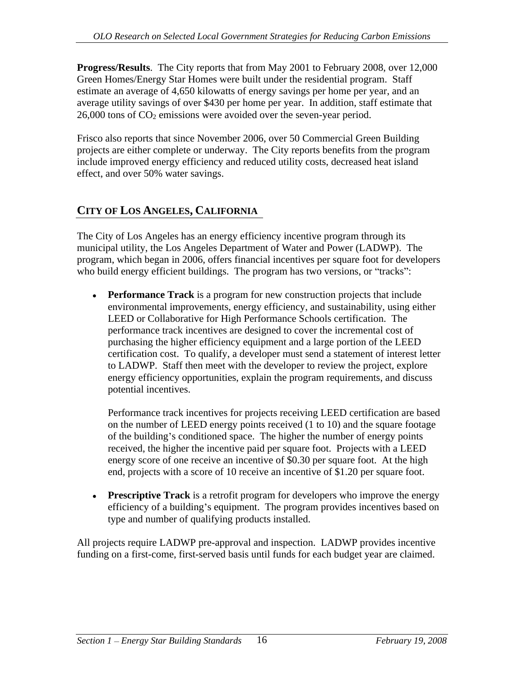**Progress/Results**. The City reports that from May 2001 to February 2008, over 12,000 Green Homes/Energy Star Homes were built under the residential program. Staff estimate an average of 4,650 kilowatts of energy savings per home per year, and an average utility savings of over \$430 per home per year. In addition, staff estimate that  $26,000$  tons of  $CO<sub>2</sub>$  emissions were avoided over the seven-year period.

Frisco also reports that since November 2006, over 50 Commercial Green Building projects are either complete or underway. The City reports benefits from the program include improved energy efficiency and reduced utility costs, decreased heat island effect, and over 50% water savings.

# **CITY OF LOS ANGELES, CALIFORNIA**

The City of Los Angeles has an energy efficiency incentive program through its municipal utility, the Los Angeles Department of Water and Power (LADWP). The program, which began in 2006, offers financial incentives per square foot for developers who build energy efficient buildings. The program has two versions, or "tracks":

**Performance Track** is a program for new construction projects that include environmental improvements, energy efficiency, and sustainability, using either LEED or Collaborative for High Performance Schools certification. The performance track incentives are designed to cover the incremental cost of purchasing the higher efficiency equipment and a large portion of the LEED certification cost. To qualify, a developer must send a statement of interest letter to LADWP. Staff then meet with the developer to review the project, explore energy efficiency opportunities, explain the program requirements, and discuss potential incentives.

Performance track incentives for projects receiving LEED certification are based on the number of LEED energy points received (1 to 10) and the square footage of the building's conditioned space. The higher the number of energy points received, the higher the incentive paid per square foot. Projects with a LEED energy score of one receive an incentive of \$0.30 per square foot. At the high end, projects with a score of 10 receive an incentive of \$1.20 per square foot.

**Prescriptive Track** is a retrofit program for developers who improve the energy efficiency of a building's equipment. The program provides incentives based on type and number of qualifying products installed.

All projects require LADWP pre-approval and inspection. LADWP provides incentive funding on a first-come, first-served basis until funds for each budget year are claimed.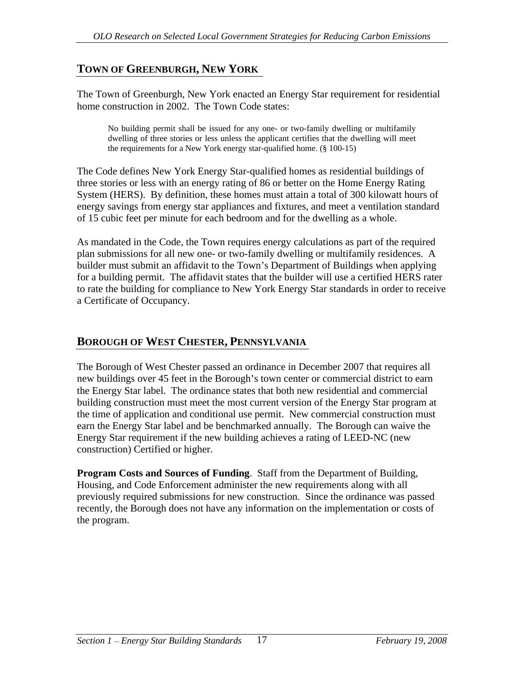# **TOWN OF GREENBURGH, NEW YORK**

The Town of Greenburgh, New York enacted an Energy Star requirement for residential home construction in 2002. The Town Code states:

No building permit shall be issued for any one- or two-family dwelling or multifamily dwelling of three stories or less unless the applicant certifies that the dwelling will meet the requirements for a New York energy star-qualified home. (§ 100-15)

The Code defines New York Energy Star-qualified homes as residential buildings of three stories or less with an energy rating of 86 or better on the Home Energy Rating System (HERS). By definition, these homes must attain a total of 300 kilowatt hours of energy savings from energy star appliances and fixtures, and meet a ventilation standard of 15 cubic feet per minute for each bedroom and for the dwelling as a whole.

As mandated in the Code, the Town requires energy calculations as part of the required plan submissions for all new one- or two-family dwelling or multifamily residences. A builder must submit an affidavit to the Town's Department of Buildings when applying for a building permit. The affidavit states that the builder will use a certified HERS rater to rate the building for compliance to New York Energy Star standards in order to receive a Certificate of Occupancy.

# **BOROUGH OF WEST CHESTER, PENNSYLVANIA**

The Borough of West Chester passed an ordinance in December 2007 that requires all new buildings over 45 feet in the Borough's town center or commercial district to earn the Energy Star label. The ordinance states that both new residential and commercial building construction must meet the most current version of the Energy Star program at the time of application and conditional use permit. New commercial construction must earn the Energy Star label and be benchmarked annually. The Borough can waive the Energy Star requirement if the new building achieves a rating of LEED-NC (new construction) Certified or higher.

**Program Costs and Sources of Funding**. Staff from the Department of Building, Housing, and Code Enforcement administer the new requirements along with all previously required submissions for new construction. Since the ordinance was passed recently, the Borough does not have any information on the implementation or costs of the program.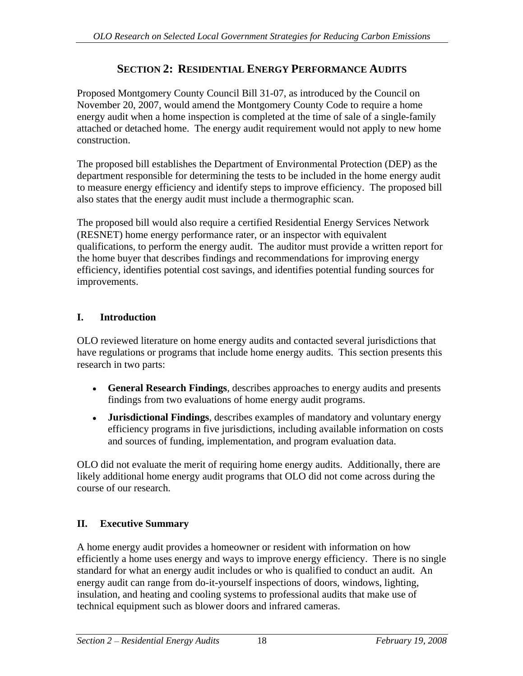# **SECTION 2: RESIDENTIAL ENERGY PERFORMANCE AUDITS**

Proposed Montgomery County Council Bill 31-07, as introduced by the Council on November 20, 2007, would amend the Montgomery County Code to require a home energy audit when a home inspection is completed at the time of sale of a single-family attached or detached home. The energy audit requirement would not apply to new home construction.

The proposed bill establishes the Department of Environmental Protection (DEP) as the department responsible for determining the tests to be included in the home energy audit to measure energy efficiency and identify steps to improve efficiency. The proposed bill also states that the energy audit must include a thermographic scan.

The proposed bill would also require a certified Residential Energy Services Network (RESNET) home energy performance rater, or an inspector with equivalent qualifications, to perform the energy audit. The auditor must provide a written report for the home buyer that describes findings and recommendations for improving energy efficiency, identifies potential cost savings, and identifies potential funding sources for improvements.

# **I. Introduction**

OLO reviewed literature on home energy audits and contacted several jurisdictions that have regulations or programs that include home energy audits. This section presents this research in two parts:

- **General Research Findings**, describes approaches to energy audits and presents findings from two evaluations of home energy audit programs.
- **Jurisdictional Findings**, describes examples of mandatory and voluntary energy efficiency programs in five jurisdictions, including available information on costs and sources of funding, implementation, and program evaluation data.

OLO did not evaluate the merit of requiring home energy audits. Additionally, there are likely additional home energy audit programs that OLO did not come across during the course of our research.

# **II. Executive Summary**

A home energy audit provides a homeowner or resident with information on how efficiently a home uses energy and ways to improve energy efficiency. There is no single standard for what an energy audit includes or who is qualified to conduct an audit. An energy audit can range from do-it-yourself inspections of doors, windows, lighting, insulation, and heating and cooling systems to professional audits that make use of technical equipment such as blower doors and infrared cameras.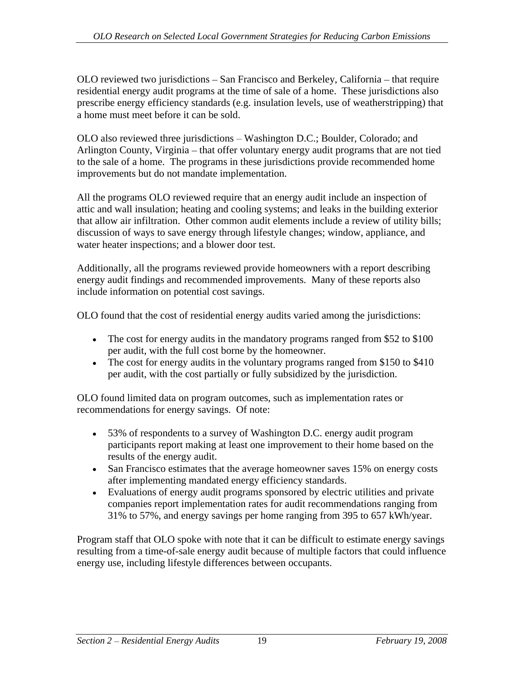OLO reviewed two jurisdictions – San Francisco and Berkeley, California – that require residential energy audit programs at the time of sale of a home. These jurisdictions also prescribe energy efficiency standards (e.g. insulation levels, use of weatherstripping) that a home must meet before it can be sold.

OLO also reviewed three jurisdictions – Washington D.C.; Boulder, Colorado; and Arlington County, Virginia – that offer voluntary energy audit programs that are not tied to the sale of a home. The programs in these jurisdictions provide recommended home improvements but do not mandate implementation.

All the programs OLO reviewed require that an energy audit include an inspection of attic and wall insulation; heating and cooling systems; and leaks in the building exterior that allow air infiltration. Other common audit elements include a review of utility bills; discussion of ways to save energy through lifestyle changes; window, appliance, and water heater inspections; and a blower door test.

Additionally, all the programs reviewed provide homeowners with a report describing energy audit findings and recommended improvements. Many of these reports also include information on potential cost savings.

OLO found that the cost of residential energy audits varied among the jurisdictions:

- The cost for energy audits in the mandatory programs ranged from \$52 to \$100 per audit, with the full cost borne by the homeowner.
- The cost for energy audits in the voluntary programs ranged from \$150 to \$410 per audit, with the cost partially or fully subsidized by the jurisdiction.

OLO found limited data on program outcomes, such as implementation rates or recommendations for energy savings. Of note:

- 53% of respondents to a survey of Washington D.C. energy audit program participants report making at least one improvement to their home based on the results of the energy audit.
- San Francisco estimates that the average homeowner saves 15% on energy costs after implementing mandated energy efficiency standards.
- Evaluations of energy audit programs sponsored by electric utilities and private companies report implementation rates for audit recommendations ranging from 31% to 57%, and energy savings per home ranging from 395 to 657 kWh/year.

Program staff that OLO spoke with note that it can be difficult to estimate energy savings resulting from a time-of-sale energy audit because of multiple factors that could influence energy use, including lifestyle differences between occupants.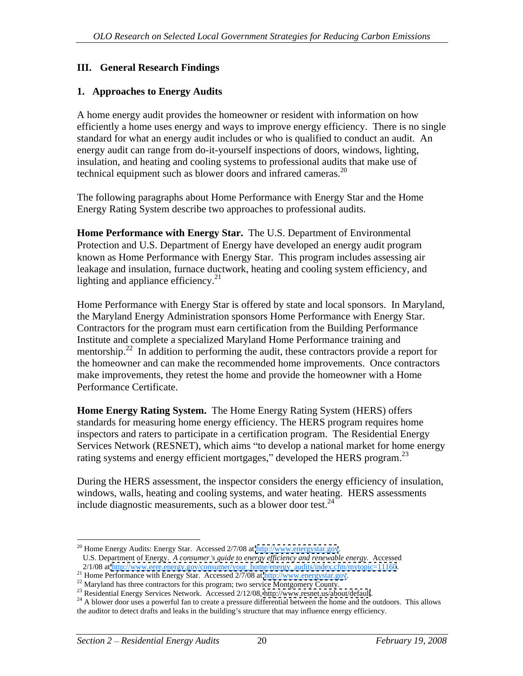#### **III. General Research Findings**

**1. Approaches to Energy Audits**<br>A home energy audit provides the homeowner or resident with information on how efficiently a home uses energy and ways to improve energy efficiency. There is no single standard for what an energy audit includes or who is qualified to conduct an audit. An energy audit can range from do-it-yourself inspections of doors, windows, lighting, insulation, and heating and cooling systems to professional audits that make use of technical equipment such as blower doors and infrared cameras.<sup>20</sup>

 The following paragraphs about Home Performance with Energy Star and the Home Energy Rating System describe two approaches to professional audits.

**Home Performance with Energy Star.** The U.S. Department of Environmental Protection and U.S. Department of Energy have developed an energy audit program known as Home Performance with Energy Star. This program includes assessing air leakage and insulation, furnace ductwork, heating and cooling system efficiency, and lighting and appliance efficiency. $21$ 

 Home Performance with Energy Star is offered by state and local sponsors. In Maryland, the Maryland Energy Administration sponsors Home Performance with Energy Star. Contractors for the program must earn certification from the Building Performance Institute and complete a specialized Maryland Home Performance training and mentorship.<sup>22</sup> In addition to performing the audit, these contractors provide a report for the homeowner and can make the recommended home improvements. Once contractors make improvements, they retest the home and provide the homeowner with a Home Performance Certificate.

**Home Energy Rating System.** The Home Energy Rating System (HERS) offers standards for measuring home energy efficiency. The HERS program requires home inspectors and raters to participate in a certification program. The Residential Energy Services Network (RESNET), which aims "to develop a national market for home energy rating systems and energy efficient mortgages," developed the HERS program. $^{23}$ 

 During the HERS assessment, the inspector considers the energy efficiency of insulation, windows, walls, heating and cooling systems, and water heating. HERS assessments include diagnostic measurements, such as a blower door test. $24$ 

<sup>&</sup>lt;sup>20</sup> Home Energy Audits: Energy Star. Accessed 2/7/08 at<http://www.energystar.gov>. U.S. Department of Energy. *A consumer's guide to energy efficiency and renewable energy.* Accessed 2/1/08 at http://www.eere.energy.gov/consumer/your\_home/energy\_audits/index.cfm/mytopic=11160.

<sup>&</sup>lt;sup>21</sup> Home Performance with Energy Star. Accessed  $2/7/08$  at<http://www.energystar.gov>.<br><sup>22</sup> Maryland has three contractors for this program; two service Montgomery County.<br><sup>23</sup> Residential Energy Services Network. Access the auditor to detect drafts and leaks in the building's structure that may influence energy efficiency.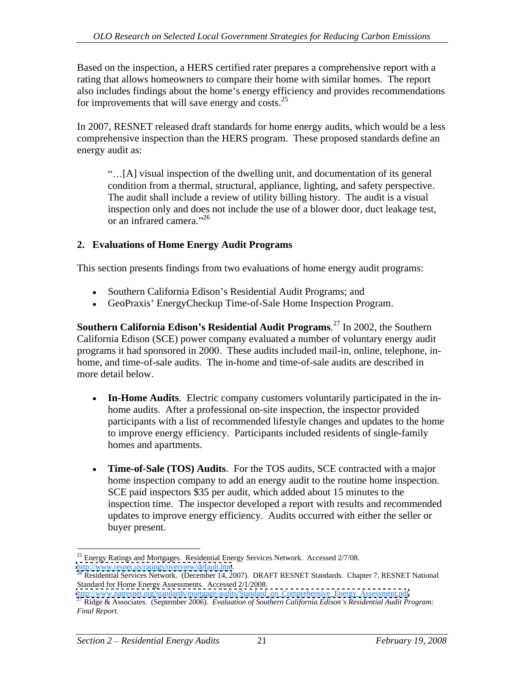Based on the inspection, a HERS certified rater prepares a comprehensive report with a rating that allows homeowners to compare their home with similar homes. The report also includes findings about the home's energy efficiency and provides recommendations for improvements that will save energy and costs. $^{25}$ 

In 2007, RESNET released draft standards for home energy audits, which would be a less comprehensive inspection than the HERS program. These proposed standards define an energy audit as:

[A] visual inspection of the dwelling unit, and documentation of its general condition from a thermal, structural, appliance, lighting, and safety perspective. The audit shall include a review of utility billing history. The audit is a visual inspection only and does not include the use of a blower door, duct leakage test, or an infrared camera. $2^{36}$ or an infrared camera. $^{26}$ 

## **2. Evaluations of Home Energy Audit Programs**

This section presents findings from two evaluations of home energy audit programs:

- Southern California Edison's Residential Audit Programs; and
- GeoPraxis' EnergyCheckup Time-of-Sale Home Inspection Program.

**Southern California Edison s Residential Audit Programs***.*<sup>27</sup> In 2002, the Southern California Edison (SCE) power company evaluated a number of voluntary energy audit programs it had sponsored in 2000. These audits included mail-in, online, telephone, in home, and time-of-sale audits. The in-home and time-of-sale audits are described in more detail below.

- **In-Home Audits**. Electric company customers voluntarily participated in the in home audits. After a professional on-site inspection, the inspector provided participants with a list of recommended lifestyle changes and updates to the home to improve energy efficiency. Participants included residents of single-family homes and apartments.
- $\bullet$ **Time-of-Sale (TOS) Audits**. For the TOS audits, SCE contracted with a major home inspection company to add an energy audit to the routine home inspection. SCE paid inspectors \$35 per audit, which added about 15 minutes to the inspection time. The inspector developed a report with results and recommended updates to improve energy efficiency. Audits occurred with either the seller or buyer present.

<sup>&</sup>lt;sup>25</sup> Energy Ratings and Mortgages. Residential Energy Services Network. Accessed 2/7/08.

<http://www.resnet.us/ratings/overview/default.htm>.<br><sup>[26](http://www.resnet.us/ratings/overview/default.htm)</sup> Residential Services Network. (December 14, 2007). DRAFT RESNET Standards. Chapter 7, RESNET National Standard for Home Energy Assessments. Accessed 2/1/2008.<br>http://www.natresnet.org/standards/mortgage/audits/Standard\_on\_Comprehensive\_Energy\_Assessment.pdf

Ridge & Associates. (September 2006). Evaluation of Southern California Edison's Residential Audit Program: *Final Report*.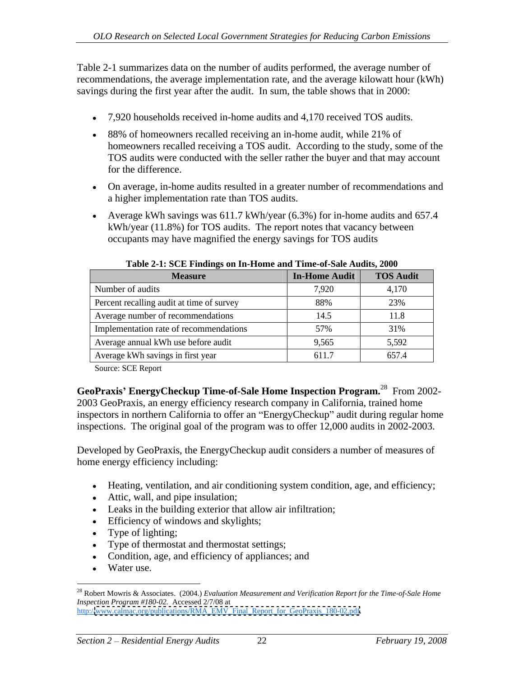Table 2-1 summarizes data on the number of audits performed, the average number of recommendations, the average implementation rate, and the average kilowatt hour (kWh) savings during the first year after the audit. In sum, the table shows that in 2000:

- 7,920 households received in-home audits and 4,170 received TOS audits.
- 88% of homeowners recalled receiving an in-home audit, while 21% of homeowners recalled receiving a TOS audit. According to the study, some of the TOS audits were conducted with the seller rather the buyer and that may account for the difference.
- On average, in-home audits resulted in a greater number of recommendations and a higher implementation rate than TOS audits.
- Average kWh savings was  $611.7$  kWh/year  $(6.3\%)$  for in-home audits and  $657.4$ kWh/year (11.8%) for TOS audits. The report notes that vacancy between occupants may have magnified the energy savings for TOS audits

| <b>Measure</b>                            | In-Home Audit   TOS Audit |                |
|-------------------------------------------|---------------------------|----------------|
| Number of audits                          |                           | 4,170          |
| Percent recalling audit at time of survey | 88%                       | 23%            |
| Average number of recommendations         | 14.5                      | 1.8            |
| Implementation rate of recommendations    |                           | 31%            |
| Average annual kWh use before audit       | 9.565                     | 5.502<br>J,J/L |
| Average kWh savings in first year         | 611.7                     | 657.4          |

**Table 2-1: SCE Findings on In-Home and Time-of-Sale Audits, 2000**

Source: SCE Report

**GeoPraxis EnergyCheckup Time-of-Sale Home Inspection Program.**<sup>28</sup> From 2002- 2003 GeoPraxis, an energy efficiency research company in California, trained home inspectors in northern California to offer an "EnergyCheckup" audit during regular home inspections. The original goal of the program was to offer 12,000 audits in 2002-2003.

Developed by GeoPraxis, the EnergyCheckup audit considers a number of measures of home energy efficiency including:

- Heating, ventilation, and air conditioning system condition, age, and efficiency;
- Attic, wall, and pipe insulation;
- Leaks in the building exterior that allow air infiltration;
- Efficiency of windows and skylights;
- Type of lighting;
- Type of thermostat and thermostat settings;
- Condition, age, and efficiency of appliances; and
- Water use.

 <sup>28</sup> Robert Mowris & Associates. (2004.) *Evaluation Measurement and Verification Report for the Time-of-Sale Home Inspection Program #180-02.* Accessed 2/7/08 at http:/[/www.calmac.org/publications/RMA\\_EMV\\_Final\\_Report\\_for\\_GeoPraxis\\_180-02.pdf](http://www.calmac.org/publications/RMA_EMV_Final_Report_for_GeoPraxis_180-02.pdf).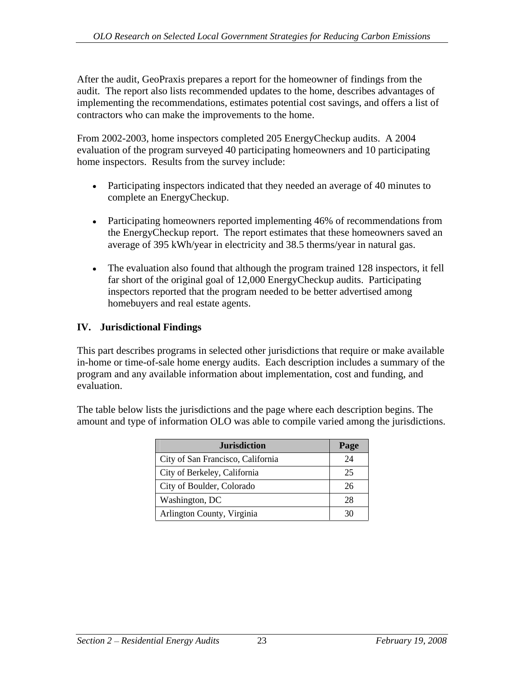After the audit, GeoPraxis prepares a report for the homeowner of findings from the audit. The report also lists recommended updates to the home, describes advantages of implementing the recommendations, estimates potential cost savings, and offers a list of contractors who can make the improvements to the home.

From 2002-2003, home inspectors completed 205 EnergyCheckup audits. A 2004 evaluation of the program surveyed 40 participating homeowners and 10 participating home inspectors. Results from the survey include:

- Participating inspectors indicated that they needed an average of 40 minutes to complete an EnergyCheckup.
- Participating homeowners reported implementing 46% of recommendations from the EnergyCheckup report. The report estimates that these homeowners saved an average of 395 kWh/year in electricity and 38.5 therms/year in natural gas.
- The evaluation also found that although the program trained 128 inspectors, it fell  $\bullet$ far short of the original goal of 12,000 EnergyCheckup audits. Participating inspectors reported that the program needed to be better advertised among homebuyers and real estate agents.

# **IV. Jurisdictional Findings**

This part describes programs in selected other jurisdictions that require or make available in-home or time-of-sale home energy audits. Each description includes a summary of the program and any available information about implementation, cost and funding, and evaluation.

The table below lists the jurisdictions and the page where each description begins. The amount and type of information OLO was able to compile varied among the jurisdictions.

| <b>Jurisdiction</b>               | Page |
|-----------------------------------|------|
| City of San Francisco, California |      |
| City of Berkeley, California      |      |
| City of Boulder, Colorado         |      |
| Washington, DC                    |      |
| Arlington County, Virginia        |      |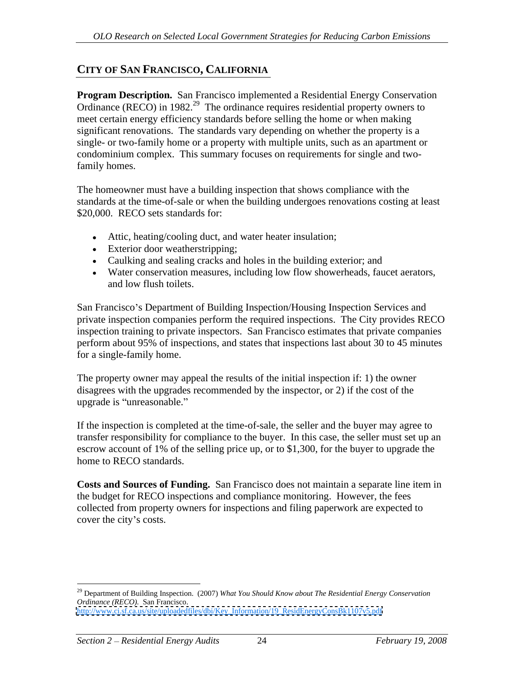# **CITY OF SAN FRANCISCO, CALIFORNIA**

**Program Description.** San Francisco implemented a Residential Energy Conservation Ordinance (RECO) in 1982.<sup>29</sup> The ordinance requires residential property owners to meet certain energy efficiency standards before selling the home or when making significant renovations. The standards vary depending on whether the property is a single- or two-family home or a property with multiple units, such as an apartment or condominium complex. This summary focuses on requirements for single and twofamily homes.

The homeowner must have a building inspection that shows compliance with the standards at the time-of-sale or when the building undergoes renovations costing at least \$20,000. RECO sets standards for:

- Attic, heating/cooling duct, and water heater insulation;
- Exterior door weatherstripping;
- Caulking and sealing cracks and holes in the building exterior; and
- Water conservation measures, including low flow showerheads, faucet aerators, and low flush toilets.

San Francisco's Department of Building Inspection/Housing Inspection Services and private inspection companies perform the required inspections. The City provides RECO inspection training to private inspectors. San Francisco estimates that private companies perform about 95% of inspections, and states that inspections last about 30 to 45 minutes for a single-family home.

The property owner may appeal the results of the initial inspection if: 1) the owner disagrees with the upgrades recommended by the inspector, or 2) if the cost of the upgrade is "unreasonable."

If the inspection is completed at the time-of-sale, the seller and the buyer may agree to transfer responsibility for compliance to the buyer. In this case, the seller must set up an escrow account of 1% of the selling price up, or to \$1,300, for the buyer to upgrade the home to RECO standards.

**Costs and Sources of Funding.** San Francisco does not maintain a separate line item in the budget for RECO inspections and compliance monitoring. However, the fees collected from property owners for inspections and filing paperwork are expected to cover the city's costs.

 <sup>29</sup> Department of Building Inspection. (2007) *What You Should Know about The Residential Energy Conservation Ordinance (RECO).* San Francisco. [http://www.ci.sf.ca.us/site/uploadedfiles/dbi/Key\\_Information/19\\_ResidEnergyConsBk1107v5.pdf](http://www.ci.sf.ca.us/site/uploadedfiles/dbi/Key_Information/19_ResidEnergyConsBk1107v5.pdf)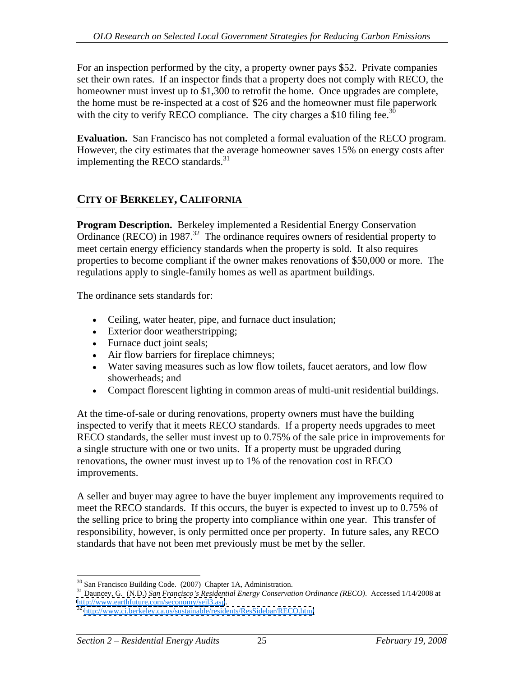For an inspection performed by the city, a property owner pays \$52. Private companies set their own rates. If an inspector finds that a property does not comply with RECO, the homeowner must invest up to \$1,300 to retrofit the home. Once upgrades are complete, the home must be re-inspected at a cost of \$26 and the homeowner must file paperwork with the city to verify RECO compliance. The city charges a \$10 filing fee.<sup>30</sup>

**Evaluation.** San Francisco has not completed a formal evaluation of the RECO program. However, the city estimates that the average homeowner saves 15% on energy costs after implementing the RECO standards.<sup>31</sup>

# **CITY OF BERKELEY, CALIFORNIA**

**Program Description.** Berkeley implemented a Residential Energy Conservation Ordinance (RECO) in 1987.<sup>32</sup> The ordinance requires owners of residential property to meet certain energy efficiency standards when the property is sold. It also requires properties to become compliant if the owner makes renovations of \$50,000 or more. The regulations apply to single-family homes as well as apartment buildings.

The ordinance sets standards for:

- Ceiling, water heater, pipe, and furnace duct insulation;
- Exterior door weatherstripping;
- Furnace duct joint seals:
- Air flow barriers for fireplace chimneys;
- Water saving measures such as low flow toilets, faucet aerators, and low flow showerheads; and shower heads in the state of the state of the state of the state of the state of the state of the state of the state of the state of the state of the state of the state of the state of the state of the sta
- Compact florescent lighting in common areas of multi-unit residential buildings.

At the time-of-sale or during renovations, property owners must have the building inspected to verify that it meets RECO standards. If a property needs upgrades to meet RECO standards, the seller must invest up to 0.75% of the sale price in improvements for a single structure with one or two units. If a property must be upgraded during renovations, the owner must invest up to 1% of the renovation cost in RECO improvements.

A seller and buyer may agree to have the buyer implement any improvements required to meet the RECO standards. If this occurs, the buyer is expected to invest up to 0.75% of the selling price to bring the property into compliance within one year. This transfer of responsibility, however, is only permitted once per property. In future sales, any RECO standards that have not been met previously must be met by the seller.

<sup>&</sup>lt;sup>30</sup> San Francisco Building Code. (2007) Chapter 1A, Administration.<br><sup>31</sup> Dauncey, G. (N.D.) San Francisco's Residential Energy Conservation Ordinance (RECO). Accessed 1/14/2008 at<br>http://www.earthfuture.com/seconomy/seil

<http://www.ci.berkeley.ca.us/sustainable/residents/ResSidebar/RECO.html>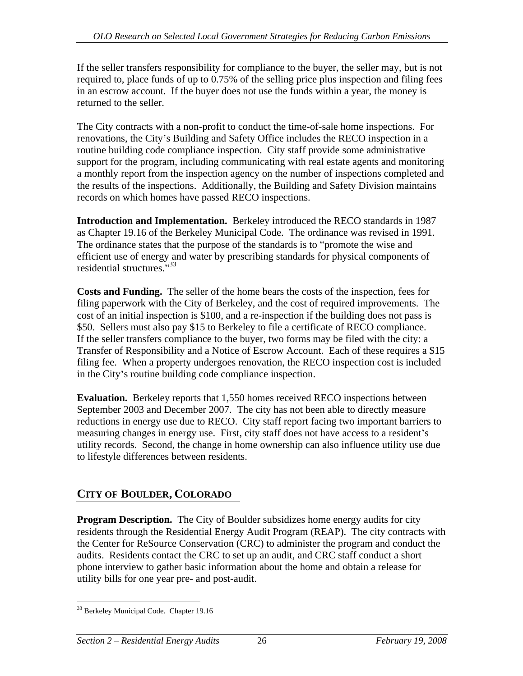If the seller transfers responsibility for compliance to the buyer, the seller may, but is not required to, place funds of up to 0.75% of the selling price plus inspection and filing fees in an escrow account. If the buyer does not use the funds within a year, the money is returned to the seller.

The City contracts with a non-profit to conduct the time-of-sale home inspections. For renovations, the City's Building and Safety Office includes the RECO inspection in a routine building code compliance inspection. City staff provide some administrative support for the program, including communicating with real estate agents and monitoring a monthly report from the inspection agency on the number of inspections completed and the results of the inspections. Additionally, the Building and Safety Division maintains records on which homes have passed RECO inspections.

**Introduction and Implementation.** Berkeley introduced the RECO standards in 1987 as Chapter 19.16 of the Berkeley Municipal Code. The ordinance was revised in 1991. The ordinance states that the purpose of the standards is to "promote the wise and efficient use of energy and water by prescribing standards for physical components of residential structures."<sup>33</sup> residential structures. $133$ 

**Costs and Funding.** The seller of the home bears the costs of the inspection, fees for filing paperwork with the City of Berkeley, and the cost of required improvements. The cost of an initial inspection is \$100, and a re-inspection if the building does not pass is \$50. Sellers must also pay \$15 to Berkeley to file a certificate of RECO compliance. If the seller transfers compliance to the buyer, two forms may be filed with the city: a Transfer of Responsibility and a Notice of Escrow Account. Each of these requires a \$15 filing fee. When a property undergoes renovation, the RECO inspection cost is included in the City's routine building code compliance inspection.

**Evaluation.** Berkeley reports that 1,550 homes received RECO inspections between September 2003 and December 2007. The city has not been able to directly measure reductions in energy use due to RECO. City staff report facing two important barriers to measuring changes in energy use. First, city staff does not have access to a resident's utility records. Second, the change in home ownership can also influence utility use due to lifestyle differences between residents.

# **CITY OF BOULDER, COLORADO**

**Program Description.** The City of Boulder subsidizes home energy audits for city residents through the Residential Energy Audit Program (REAP). The city contracts with the Center for ReSource Conservation (CRC) to administer the program and conduct the audits. Residents contact the CRC to set up an audit, and CRC staff conduct a short phone interview to gather basic information about the home and obtain a release for utility bills for one year pre- and post-audit.

<sup>&</sup>lt;sup>33</sup> Berkeley Municipal Code. Chapter 19.16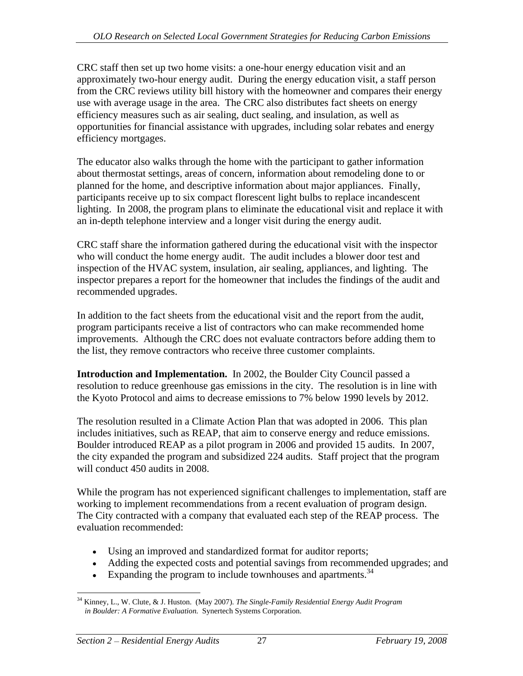CRC staff then set up two home visits: a one-hour energy education visit and an approximately two-hour energy audit. During the energy education visit, a staff person from the CRC reviews utility bill history with the homeowner and compares their energy use with average usage in the area. The CRC also distributes fact sheets on energy efficiency measures such as air sealing, duct sealing, and insulation, as well as opportunities for financial assistance with upgrades, including solar rebates and energy efficiency mortgages.

The educator also walks through the home with the participant to gather information about thermostat settings, areas of concern, information about remodeling done to or planned for the home, and descriptive information about major appliances. Finally, participants receive up to six compact florescent light bulbs to replace incandescent lighting. In 2008, the program plans to eliminate the educational visit and replace it with an in-depth telephone interview and a longer visit during the energy audit.

CRC staff share the information gathered during the educational visit with the inspector who will conduct the home energy audit. The audit includes a blower door test and inspection of the HVAC system, insulation, air sealing, appliances, and lighting. The inspector prepares a report for the homeowner that includes the findings of the audit and recommended upgrades.

In addition to the fact sheets from the educational visit and the report from the audit, program participants receive a list of contractors who can make recommended home improvements. Although the CRC does not evaluate contractors before adding them to the list, they remove contractors who receive three customer complaints.

**Introduction and Implementation.** In 2002, the Boulder City Council passed a resolution to reduce greenhouse gas emissions in the city. The resolution is in line with the Kyoto Protocol and aims to decrease emissions to 7% below 1990 levels by 2012.

The resolution resulted in a Climate Action Plan that was adopted in 2006. This plan includes initiatives, such as REAP, that aim to conserve energy and reduce emissions. Boulder introduced REAP as a pilot program in 2006 and provided 15 audits. In 2007, the city expanded the program and subsidized 224 audits. Staff project that the program will conduct 450 audits in 2008.

While the program has not experienced significant challenges to implementation, staff are working to implement recommendations from a recent evaluation of program design. The City contracted with a company that evaluated each step of the REAP process. The evaluation recommended:

- Using an improved and standardized format for auditor reports;
- Adding the expected costs and potential savings from recommended upgrades; and
- Expanding the program to include townhouses and apartments. $34$

 <sup>34</sup> Kinney, L., W. Clute, & J. Huston. (May 2007). *The Single-Family Residential Energy Audit Program in Boulder: A Formative Evaluation.* Synertech Systems Corporation.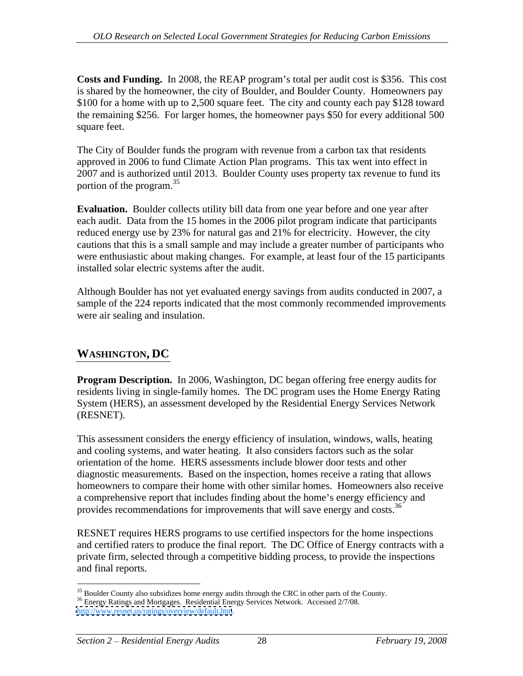**Costs and Funding.** In 2008, the REAP program's total per audit cost is \$356. This cost is shared by the homeowner, the city of Boulder, and Boulder County. Homeowners pay \$100 for a home with up to 2,500 square feet. The city and county each pay \$128 toward the remaining \$256. For larger homes, the homeowner pays \$50 for every additional 500 square feet.

The City of Boulder funds the program with revenue from a carbon tax that residents approved in 2006 to fund Climate Action Plan programs. This tax went into effect in 2007 and is authorized until 2013. Boulder County uses property tax revenue to fund its portion of the program.<sup>35</sup>

**Evaluation.** Boulder collects utility bill data from one year before and one year after each audit. Data from the 15 homes in the 2006 pilot program indicate that participants reduced energy use by 23% for natural gas and 21% for electricity. However, the city cautions that this is a small sample and may include a greater number of participants who were enthusiastic about making changes. For example, at least four of the 15 participants installed solar electric systems after the audit.

Although Boulder has not yet evaluated energy savings from audits conducted in 2007, a sample of the 224 reports indicated that the most commonly recommended improvements were air sealing and insulation.

# **WASHINGTON, DC**

**Program Description.** In 2006, Washington, DC began offering free energy audits for residents living in single-family homes. The DC program uses the Home Energy Rating System (HERS), an assessment developed by the Residential Energy Services Network (RESNET).

This assessment considers the energy efficiency of insulation, windows, walls, heating and cooling systems, and water heating. It also considers factors such as the solar orientation of the home. HERS assessments include blower door tests and other diagnostic measurements. Based on the inspection, homes receive a rating that allows homeowners to compare their home with other similar homes. Homeowners also receive a comprehensive report that includes finding about the home's energy efficiency and provides recommendations for improvements that will save energy and costs.<sup>36</sup>

 RESNET requires HERS programs to use certified inspectors for the home inspections and certified raters to produce the final report. The DC Office of Energy contracts with a private firm, selected through a competitive bidding process, to provide the inspections and final reports.

 $35$  Boulder County also subsidizes home energy audits through the CRC in other parts of the County.  $36$  Energy Ratings and Mortgages. Residential Energy Services Network. Accessed 2/7/08. <http://www.resnet.us/ratings/overview/default.htm>.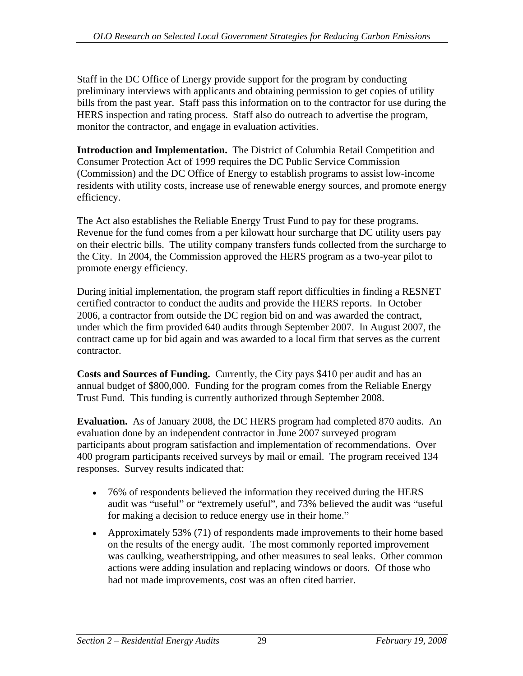Staff in the DC Office of Energy provide support for the program by conducting preliminary interviews with applicants and obtaining permission to get copies of utility bills from the past year. Staff pass this information on to the contractor for use during the HERS inspection and rating process. Staff also do outreach to advertise the program, monitor the contractor, and engage in evaluation activities.

**Introduction and Implementation.** The District of Columbia Retail Competition and Consumer Protection Act of 1999 requires the DC Public Service Commission (Commission) and the DC Office of Energy to establish programs to assist low-income residents with utility costs, increase use of renewable energy sources, and promote energy efficiency.

The Act also establishes the Reliable Energy Trust Fund to pay for these programs. Revenue for the fund comes from a per kilowatt hour surcharge that DC utility users pay on their electric bills. The utility company transfers funds collected from the surcharge to the City. In 2004, the Commission approved the HERS program as a two-year pilot to promote energy efficiency.

During initial implementation, the program staff report difficulties in finding a RESNET certified contractor to conduct the audits and provide the HERS reports. In October 2006, a contractor from outside the DC region bid on and was awarded the contract, under which the firm provided 640 audits through September 2007. In August 2007, the contract came up for bid again and was awarded to a local firm that serves as the current contractor.

**Costs and Sources of Funding.** Currently, the City pays \$410 per audit and has an annual budget of \$800,000. Funding for the program comes from the Reliable Energy Trust Fund. This funding is currently authorized through September 2008.

**Evaluation.** As of January 2008, the DC HERS program had completed 870 audits. An evaluation done by an independent contractor in June 2007 surveyed program participants about program satisfaction and implementation of recommendations. Over 400 program participants received surveys by mail or email. The program received 134 responses. Survey results indicated that:

- 76% of respondents believed the information they received during the HERS audit was "useful" or "extremely useful", and 73% believed the audit was "useful for making a decision to reduce energy use in their home.
- Approximately 53% (71) of respondents made improvements to their home based on the results of the energy audit. The most commonly reported improvement was caulking, weatherstripping, and other measures to seal leaks. Other common actions were adding insulation and replacing windows or doors. Of those who had not made improvements, cost was an often cited barrier.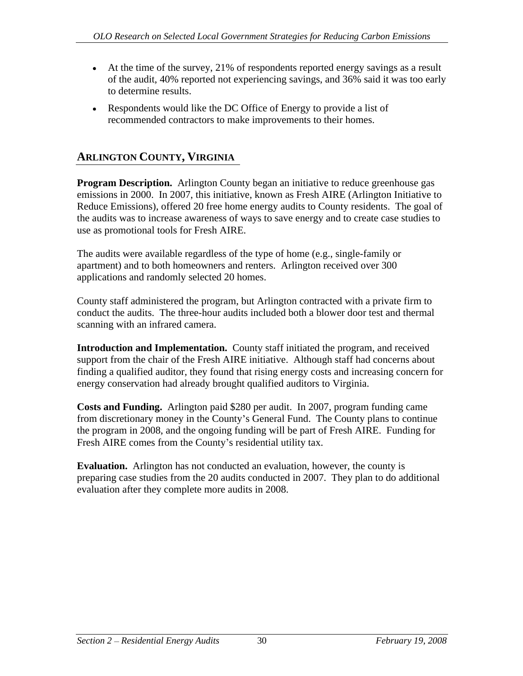- At the time of the survey, 21% of respondents reported energy savings as a result of the audit, 40% reported not experiencing savings, and 36% said it was too early to determine results.
- Respondents would like the DC Office of Energy to provide a list of recommended contractors to make improvements to their homes.

# **ARLINGTON COUNTY, VIRGINIA**

**Program Description.** Arlington County began an initiative to reduce greenhouse gas emissions in 2000. In 2007, this initiative, known as Fresh AIRE (Arlington Initiative to Reduce Emissions), offered 20 free home energy audits to County residents. The goal of the audits was to increase awareness of ways to save energy and to create case studies to use as promotional tools for Fresh AIRE.

The audits were available regardless of the type of home (e.g., single-family or apartment) and to both homeowners and renters. Arlington received over 300 applications and randomly selected 20 homes.

County staff administered the program, but Arlington contracted with a private firm to conduct the audits. The three-hour audits included both a blower door test and thermal scanning with an infrared camera.

**Introduction and Implementation.** County staff initiated the program, and received support from the chair of the Fresh AIRE initiative. Although staff had concerns about finding a qualified auditor, they found that rising energy costs and increasing concern for energy conservation had already brought qualified auditors to Virginia.

**Costs and Funding.** Arlington paid \$280 per audit. In 2007, program funding came from discretionary money in the County's General Fund. The County plans to continue the program in 2008, and the ongoing funding will be part of Fresh AIRE. Funding for Fresh AIRE comes from the County's residential utility tax.

**Evaluation.** Arlington has not conducted an evaluation, however, the county is preparing case studies from the 20 audits conducted in 2007. They plan to do additional evaluation after they complete more audits in 2008.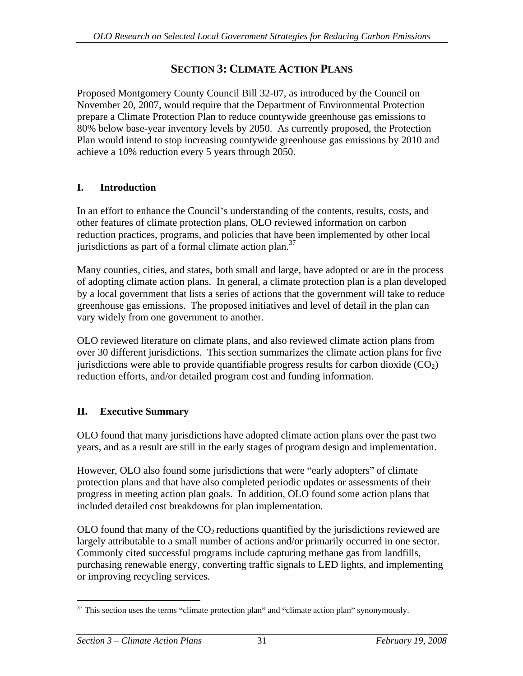# **SECTION 3: CLIMATE ACTION PLANS**

Proposed Montgomery County Council Bill 32-07, as introduced by the Council on November 20, 2007, would require that the Department of Environmental Protection prepare a Climate Protection Plan to reduce countywide greenhouse gas emissions to 80% below base-year inventory levels by 2050. As currently proposed, the Protection Plan would intend to stop increasing countywide greenhouse gas emissions by 2010 and achieve a 10% reduction every 5 years through 2050.

# **I. Introduction**

In an effort to enhance the Council's understanding of the contents, results, costs, and other features of climate protection plans, OLO reviewed information on carbon reduction practices, programs, and policies that have been implemented by other local jurisdictions as part of a formal climate action plan. $37$ 

Many counties, cities, and states, both small and large, have adopted or are in the process of adopting climate action plans. In general, a climate protection plan is a plan developed by a local government that lists a series of actions that the government will take to reduce greenhouse gas emissions. The proposed initiatives and level of detail in the plan can vary widely from one government to another.

OLO reviewed literature on climate plans, and also reviewed climate action plans from over 30 different jurisdictions. This section summarizes the climate action plans for five jurisdictions were able to provide quantifiable progress results for carbon dioxide  $(CO<sub>2</sub>)$ reduction efforts, and/or detailed program cost and funding information.

# **II. Executive Summary**

OLO found that many jurisdictions have adopted climate action plans over the past two years, and as a result are still in the early stages of program design and implementation.

However, OLO also found some jurisdictions that were "early adopters" of climate protection plans and that have also completed periodic updates or assessments of their progress in meeting action plan goals. In addition, OLO found some action plans that included detailed cost breakdowns for plan implementation.

OLO found that many of the  $CO<sub>2</sub>$  reductions quantified by the jurisdictions reviewed are largely attributable to a small number of actions and/or primarily occurred in one sector. Commonly cited successful programs include capturing methane gas from landfills, purchasing renewable energy, converting traffic signals to LED lights, and implementing or improving recycling services.

 $37$  This section uses the terms "climate protection plan" and "climate action plan" synonymously.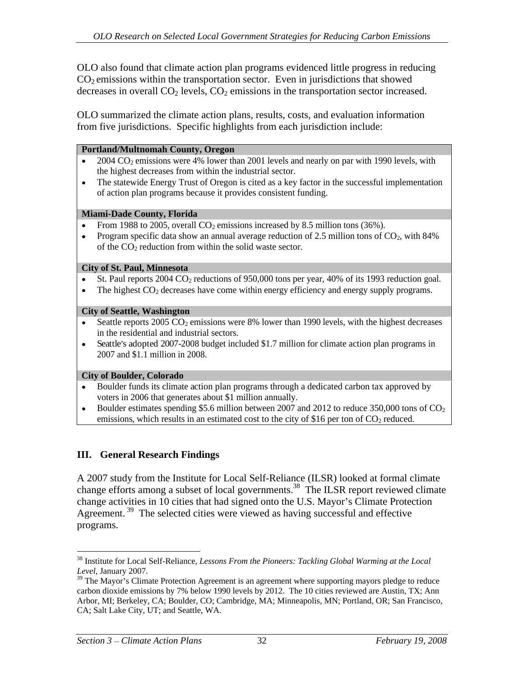OLO also found that climate action plan programs evidenced little progress in reducing  $CO<sub>2</sub>$  emissions within the transportation sector. Even in jurisdictions that showed decreases in overall  $CO<sub>2</sub>$  levels,  $CO<sub>2</sub>$  emissions in the transportation sector increased.

OLO summarized the climate action plans, results, costs, and evaluation information from five jurisdictions. Specific highlights from each jurisdiction include:

#### **Portland/Multnomah County, Oregon**

- $2004 \text{ CO}_2$  emissions were 4% lower than 2001 levels and nearly on par with 1990 levels, with  $\bullet$ the highest decreases from within the industrial sector.
- The statewide Energy Trust of Oregon is cited as a key factor in the successful implementation  $\bullet$ of action plan programs because it provides consistent funding.

#### **Miami-Dade County, Florida**

- From 1988 to 2005, overall  $CO<sub>2</sub>$  emissions increased by 8.5 million tons (36%).
- Program specific data show an annual average reduction of 2.5 million tons of  $CO<sub>2</sub>$ , with 84% of the CO2 reduction from within the solid waste sector.

#### **City of St. Paul, Minnesota**

- St. Paul reports 2004 CO<sub>2</sub> reductions of 950,000 tons per year, 40% of its 1993 reduction goal.
- The highest CO<sub>2</sub> decreases have come within energy efficiency and energy supply programs.

#### **City of Seattle, Washington**

- Seattle reports  $2005 \text{ CO}_2$  emissions were 8% lower than 1990 levels, with the highest decreases in the residential and industrial sectors.
- Seattle's adopted 2007-2008 budget included \$1.7 million for climate action plan programs in  $\bullet$ 2007 and \$1.1 million in 2008.

#### **City of Boulder, Colorado**

- Boulder funds its climate action plan programs through a dedicated carbon tax approved by voters in 2006 that generates about \$1 million annually.
- Boulder estimates spending \$5.6 million between 2007 and 2012 to reduce 350,000 tons of CO<sub>2</sub>  $\bullet$ emissions, which results in an estimated cost to the city of \$16 per ton of  $CO<sub>2</sub>$  reduced.

## **III. General Research Findings**

A 2007 study from the Institute for Local Self-Reliance (ILSR) looked at formal climate change efforts among a subset of local governments.<sup>38</sup> The ILSR report reviewed climate change activities in 10 cities that had signed onto the U.S. Mayor's Climate Protection Agreement.<sup>39</sup> The selected cities were viewed as having successful and effective programs.

<sup>&</sup>lt;sup>38</sup> Institute for Local Self-Reliance, *Lessons From the Pioneers: Tackling Global Warming at the Local Level*, January 2007. *Level*, January 2007.

 $39$  The Mayor's Climate Protection Agreement is an agreement where supporting mayors pledge to reduce carbon dioxide emissions by 7% below 1990 levels by 2012. The 10 cities reviewed are Austin, TX; Ann Arbor, MI; Berkeley, CA; Boulder, CO; Cambridge, MA; Minneapolis, MN; Portland, OR; San Francisco, CA; Salt Lake City, UT; and Seattle, WA.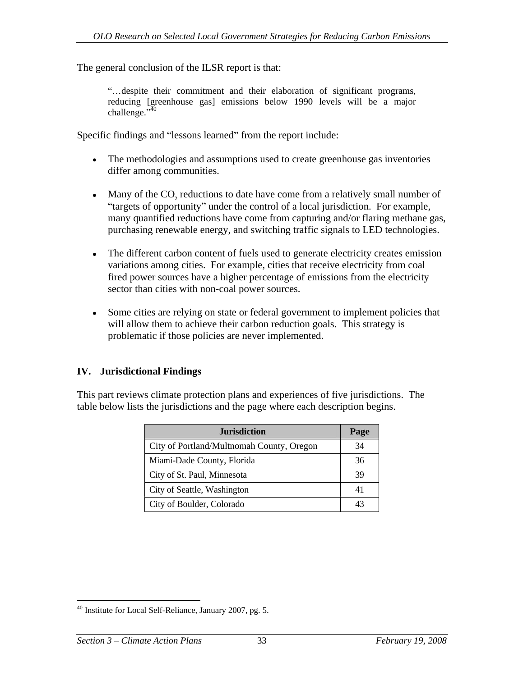The general conclusion of the ILSR report is that:

despite their commitment and their elaboration of significant programs, reducing [greenhouse gas] emissions below 1990 levels will be a major challenge."<sup>40</sup>  $\text{challenge.}^{3,40}$ 

challenge."<sup>40</sup><br>Specific findings and "lessons learned" from the report include:

- The methodologies and assumptions used to create greenhouse gas inventories differ among communities.
- Many of the CO<sub>2</sub> reductions to date have come from a relatively small number of "targets of opportunity" under the control of a local jurisdiction. For example, many quantified reductions have come from capturing and/or flaring methane gas, purchasing renewable energy, and switching traffic signals to LED technologies.
- The different carbon content of fuels used to generate electricity creates emission variations among cities. For example, cities that receive electricity from coal fired power sources have a higher percentage of emissions from the electricity sector than cities with non-coal power sources.
- Some cities are relying on state or federal government to implement policies that will allow them to achieve their carbon reduction goals. This strategy is problematic if those policies are never implemented.

#### **IV. Jurisdictional Findings**

This part reviews climate protection plans and experiences of five jurisdictions. The table below lists the jurisdictions and the page where each description begins.

| <b>Jurisdiction</b>                       | Page   |
|-------------------------------------------|--------|
| City of Portland/Multnomah County, Oregon | 34     |
| Miami-Dade County, Florida                | $\sim$ |
| City of St. Paul, Minnesota               | 30     |
| City of Seattle, Washington               | 41     |
| City of Boulder, Colorado                 | 43     |

 <sup>40</sup> Institute for Local Self-Reliance, January 2007, pg. 5.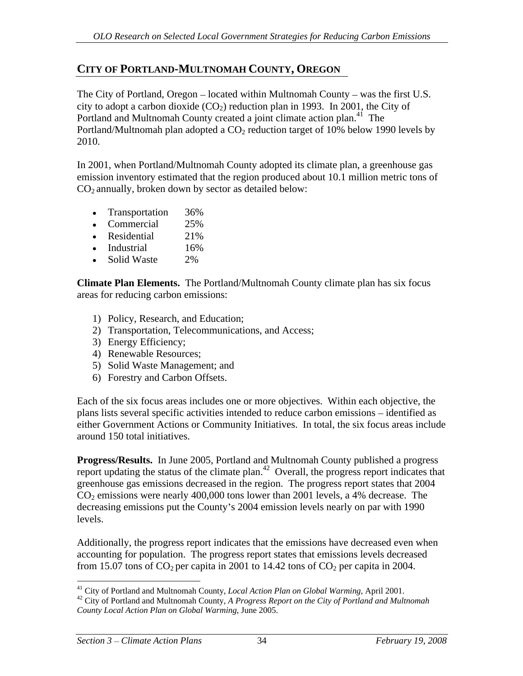# **CITY OF PORTLAND-MULTNOMAH COUNTY, OREGON**

The City of Portland, Oregon  $-$  located within Multnomah County  $-$  was the first U.S. city to adopt a carbon dioxide  $(CO_2)$  reduction plan in 1993. In 2001, the City of Portland and Multnomah County created a joint climate action plan.<sup>41</sup> The Portland/Multnomah plan adopted a  $CO<sub>2</sub>$  reduction target of 10% below 1990 levels by 2010.

In 2001, when Portland/Multnomah County adopted its climate plan, a greenhouse gas emission inventory estimated that the region produced about 10.1 million metric tons of  $CO<sub>2</sub>$  annually, broken down by sector as detailed below:

- Transportation 36%
- Commercial 25%
- Residential 21%
- Industrial 16%
- Solid Waste 2%

**Climate Plan Elements.** The Portland/Multnomah County climate plan has six focus areas for reducing carbon emissions:

- 1) Policy, Research, and Education;
- 2) Transportation, Telecommunications, and Access;
- 3) Energy Efficiency;
- 4) Renewable Resources;
- 5) Solid Waste Management; and
- 6) Forestry and Carbon Offsets.

Each of the six focus areas includes one or more objectives. Within each objective, the plans lists several specific activities intended to reduce carbon emissions – identified as either Government Actions or Community Initiatives. In total, the six focus areas include around 150 total initiatives.

**Progress/Results.** In June 2005, Portland and Multnomah County published a progress report updating the status of the climate plan.<sup>42</sup> Overall, the progress report indicates that greenhouse gas emissions decreased in the region. The progress report states that 2004  $CO<sub>2</sub>$  emissions were nearly 400,000 tons lower than 2001 levels, a 4% decrease. The decreasing emissions put the County's 2004 emission levels nearly on par with 1990 levels.

Additionally, the progress report indicates that the emissions have decreased even when accounting for population. The progress report states that emissions levels decreased from 15.07 tons of  $CO_2$  per capita in 2001 to 14.42 tons of  $CO_2$  per capita in 2004.

<sup>&</sup>lt;sup>41</sup> City of Portland and Multnomah County, *Local Action Plan on Global Warming*, April 2001.<br><sup>42</sup> City of Portland and Multnomah County, *A Progress Report on the City of Portland and Multnomah* 

*County Local Action Plan on Global Warming*, June 2005.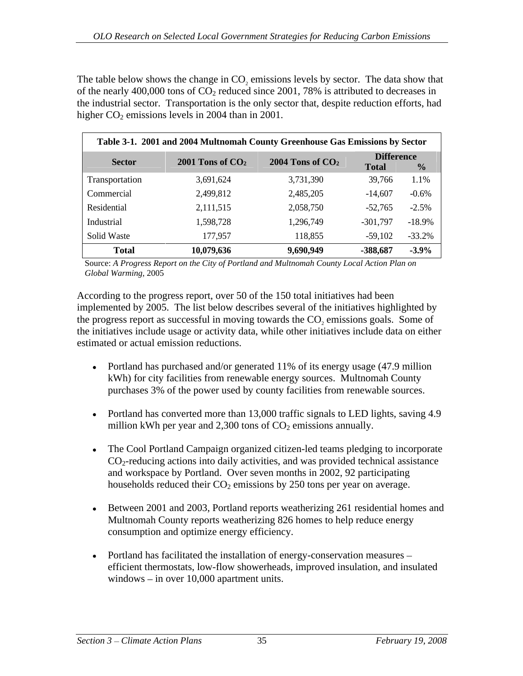The table below shows the change in CO<sub>2</sub> emissions levels by sector. The data show that of the nearly 400,000 tons of  $CO_2$  reduced since 2001, 78% is attributed to decreases in the industrial sector. Transportation is the only sector that, despite reduction efforts, had higher  $CO<sub>2</sub>$  emissions levels in 2004 than in 2001.

|                | Table 3-1. 2001 and 2004 Multnomah County Greenhouse Gas Emissions by Sector |                      |                                   |           |
|----------------|------------------------------------------------------------------------------|----------------------|-----------------------------------|-----------|
| <b>Sector</b>  | 2001 Tons of $CO2$                                                           | $2004$ Tons of $CO2$ | <b>Difference</b><br><b>Total</b> |           |
| Transportation | 3,691,624                                                                    | 3,731,390            | 39,766                            | 1.1%      |
| Commercial     | 2,499,812                                                                    | 2,485,205            | $-14,607$                         | $-0.6\%$  |
| Residential    | 2,111,515                                                                    | 2,058,750            | 52,765                            | $-2.5%$   |
| Industrial     | 1,598,728                                                                    | 1,296,749            | $-301,797$                        | $-18.9\%$ |
| Solid Waste    | 177,957                                                                      | 18.855               | 39,102                            | -33.2%    |
| Total          | 10,079,636                                                                   | 9,690,9              | -388,687                          | $-3.9\%$  |

Source: *A Progress Report on the City of Portland and Multnomah County Local Action Plan on Global Warming*, 2005

According to the progress report, over 50 of the 150 total initiatives had been implemented by 2005. The list below describes several of the initiatives highlighted by the progress report as successful in moving towards the CO<sub>2</sub> emissions goals. Some of the initiatives include usage or activity data, while other initiatives include data on either estimated or actual emission reductions.

- Portland has purchased and/or generated 11% of its energy usage (47.9 million kWh) for city facilities from renewable energy sources. Multnomah County purchases 3% of the power used by county facilities from renewable sources.
- Portland has converted more than 13,000 traffic signals to LED lights, saving 4.9 million kWh per year and 2,300 tons of  $CO<sub>2</sub>$  emissions annually.
- The Cool Portland Campaign organized citizen-led teams pledging to incorporate  $\bullet$  $CO<sub>2</sub>$ -reducing actions into daily activities, and was provided technical assistance and workspace by Portland. Over seven months in 2002, 92 participating households reduced their  $CO<sub>2</sub>$  emissions by 250 tons per year on average.
- Between 2001 and 2003, Portland reports weatherizing 261 residential homes and Multnomah County reports weatherizing 826 homes to help reduce energy consumption and optimize energy efficiency.
- Portland has facilitated the installation of energy-conservation measures efficient thermostats, low-flow showerheads, improved insulation, and insulated windows  $-$  in over 10,000 apartment units.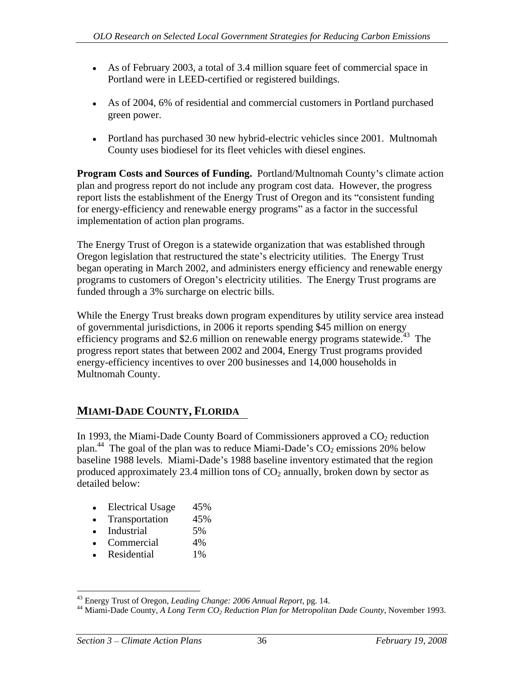- As of February 2003, a total of 3.4 million square feet of commercial space in Portland were in LEED-certified or registered buildings.
- As of 2004, 6% of residential and commercial customers in Portland purchased green power.
- Portland has purchased 30 new hybrid-electric vehicles since 2001. Multnomah County uses biodiesel for its fleet vehicles with diesel engines.

**Program Costs and Sources of Funding.** Portland/Multnomah County's climate action plan and progress report do not include any program cost data. However, the progress report lists the establishment of the Energy Trust of Oregon and its "consistent funding" for energy-efficiency and renewable energy programs" as a factor in the successful implementation of action plan programs.

The Energy Trust of Oregon is a statewide organization that was established through Oregon legislation that restructured the state's electricity utilities. The Energy Trust began operating in March 2002, and administers energy efficiency and renewable energy programs to customers of Oregon's electricity utilities. The Energy Trust programs are funded through a 3% surcharge on electric bills.

While the Energy Trust breaks down program expenditures by utility service area instead of governmental jurisdictions, in 2006 it reports spending \$45 million on energy efficiency programs and \$2.6 million on renewable energy programs statewide.<sup>43</sup> The progress report states that between 2002 and 2004, Energy Trust programs provided energy-efficiency incentives to over 200 businesses and 14,000 households in Multnomah County.

# **MIAMI-DADE COUNTY, FLORIDA**

In 1993, the Miami-Dade County Board of Commissioners approved a  $CO<sub>2</sub>$  reduction plan.<sup>44</sup> The goal of the plan was to reduce Miami-Dade's  $CO<sub>2</sub>$  emissions 20% below baseline 1988 levels. Miami-Dade's 1988 baseline inventory estimated that the region produced approximately 23.4 million tons of  $CO<sub>2</sub>$  annually, broken down by sector as detailed below:

- Electrical Usage 45%
- Transportation 45%
- Industrial 5%
- Commercial 4%
- Residential 1%

<sup>&</sup>lt;sup>43</sup> Energy Trust of Oregon, *Leading Change: 2006 Annual Report*, pg. 14.<br><sup>44</sup> Miami-Dade County, *A Long Term CO<sub>2</sub> Reduction Plan for Metropolitan Dade County*, November 1993.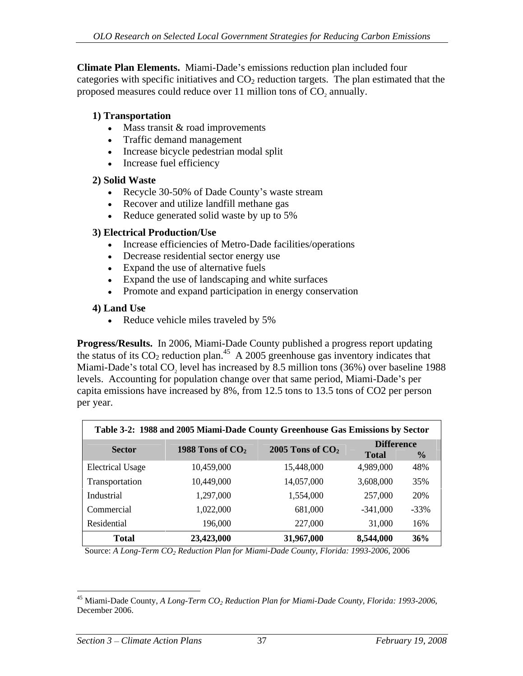**Climate Plan Elements.** Miami-Dade's emissions reduction plan included four categories with specific initiatives and  $CO<sub>2</sub>$  reduction targets. The plan estimated that the proposed measures could reduce over 11 million tons of CO<sub>2</sub> annually.

#### **1) Transportation**

- $•$  Mass transit  $&$  road improvements
- Traffic demand management
- Increase bicycle pedestrian modal split
- Increase fuel efficiency

## **2) Solid Waste**

- Recycle 30-50% of Dade County's waste stream  $\bullet$
- Recover and utilize landfill methane gas
- Reduce generated solid waste by up to 5%

#### **3) Electrical Production/Use**

- Increase efficiencies of Metro-Dade facilities/operations
- Decrease residential sector energy use
- Expand the use of alternative fuels
- Expand the use of landscaping and white surfaces
- Promote and expand participation in energy conservation

## **4) Land Use**

Reduce vehicle miles traveled by 5%

**Progress/Results.** In 2006, Miami-Dade County published a progress report updating the status of its  $CO_2$  reduction plan.<sup>45</sup> A 2005 greenhouse gas inventory indicates that Miami-Dade's total CO<sub>2</sub> level has increased by 8.5 million tons (36%) over baseline 1988 levels. Accounting for population change over that same period, Miami-Dade's per capita emissions have increased by 8%, from 12.5 tons to 13.5 tons of CO2 per person per year.

|                         | Table 3-2: 1988 and 2005 Miami-Dade County Greenhouse Gas Emissions by Sector |                                       |                                   |
|-------------------------|-------------------------------------------------------------------------------|---------------------------------------|-----------------------------------|
| <b>Sector</b>           |                                                                               | 1988 Tons of $CO2$ 2005 Tons of $CO2$ | <b>Difference</b><br><b>Total</b> |
| <b>Electrical Usage</b> | 10,459,000                                                                    | 15,448,000                            | 4,989,000 48%                     |
| Transportation          | 10,449,000                                                                    | 14,057,000                            | 3,608,000<br>35%                  |
| Industrial              | 1,297,000                                                                     | 1,554,000                             | 257,000<br>20%                    |
| Commercial              | 1,022,000                                                                     | 681,000                               | $-341,000$<br>$-33%$              |
| Residential             | 196,000                                                                       | 227,000                               | 31,000<br>16%                     |
| Total                   | 23,423,000                                                                    | 31,967,00                             | 8,544,000<br>36%                  |

Source: *A Long-Term CO2 Reduction Plan for Miami-Dade County, Florida: 1993-2006*, 2006

<sup>&</sup>lt;sup>45</sup> Miami-Dade County, *A Long-Term CO<sub>2</sub> Reduction Plan for Miami-Dade County, Florida: 1993-2006,* December 2006.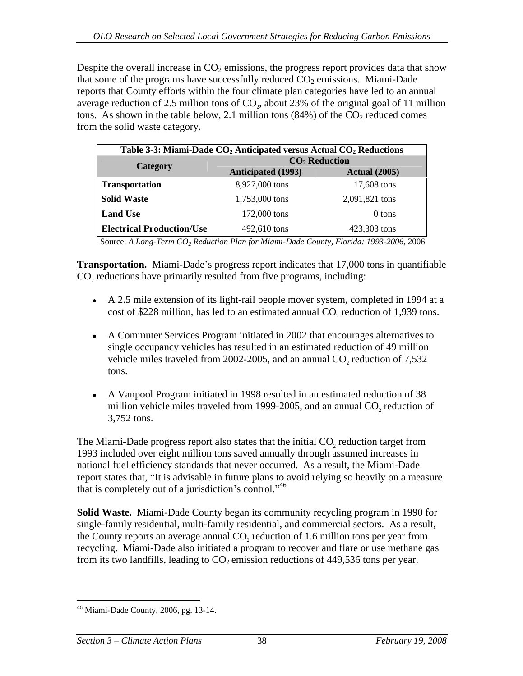Despite the overall increase in  $CO<sub>2</sub>$  emissions, the progress report provides data that show that some of the programs have successfully reduced  $CO<sub>2</sub>$  emissions. Miami-Dade reports that County efforts within the four climate plan categories have led to an annual average reduction of 2.5 million tons of  $CO<sub>2</sub>$ , about 23% of the original goal of 11 million tons. As shown in the table below, 2.1 million tons  $(84%)$  of the CO<sub>2</sub> reduced comes from the solid waste category.

|                                  | Table 3-3: Miami-Dade CO <sub>2</sub> Anticipated versus Actual CO <sub>2</sub> Reductions |                      |  |
|----------------------------------|--------------------------------------------------------------------------------------------|----------------------|--|
| Category                         | <b>CO<sub>2</sub></b> Reduction                                                            |                      |  |
|                                  | <b>Anticipated (1993)</b>                                                                  | <b>Actual (2005)</b> |  |
| Transportation                   | 8,927,000 tons                                                                             | 17,608 tons          |  |
| <b>Solid Waste</b>               | 1,753,000 tons                                                                             | 2,091,821 tons       |  |
| <b>Land Use</b>                  | 172,000 tons                                                                               | 0 tons               |  |
| <b>Electrical Production/Use</b> | 492,610 tons                                                                               | 423,303 tons         |  |

Source: *A Long-Term CO2 Reduction Plan for Miami-Dade County, Florida: 1993-2006*, 2006

**Transportation.** Miami-Dade's progress report indicates that 17,000 tons in quantifiable CO<sub>2</sub> reductions have primarily resulted from five programs, including:

- A 2.5 mile extension of its light-rail people mover system, completed in 1994 at a cost of \$228 million, has led to an estimated annual CO<sub>2</sub> reduction of 1,939 tons.
- A Commuter Services Program initiated in 2002 that encourages alternatives to single occupancy vehicles has resulted in an estimated reduction of 49 million vehicle miles traveled from 2002-2005, and an annual  $CO_2$  reduction of 7,532 tons. tons.
- A Vanpool Program initiated in 1998 resulted in an estimated reduction of 38 million vehicle miles traveled from 1999-2005, and an annual  $CO<sub>2</sub>$  reduction of 3,752 tons.  $3,752$  tons.

The Miami-Dade progress report also states that the initial  $CO<sub>2</sub>$  reduction target from 1993 included over eight million tons saved annually through assumed increases in national fuel efficiency standards that never occurred. As a result, the Miami-Dade report states that, "It is advisable in future plans to avoid relying so heavily on a measure that is completely out of a jurisdiction's control. $^{46}$ 

**Solid Waste.** Miami-Dade County began its community recycling program in 1990 for single-family residential, multi-family residential, and commercial sectors. As a result, the County reports an average annual CO<sub>2</sub> reduction of 1.6 million tons per year from recycling. Miami-Dade also initiated a program to recover and flare or use methane gas from its two landfills, leading to  $CO<sub>2</sub>$  emission reductions of 449,536 tons per year.

 <sup>46</sup> Miami-Dade County, 2006, pg. 13-14.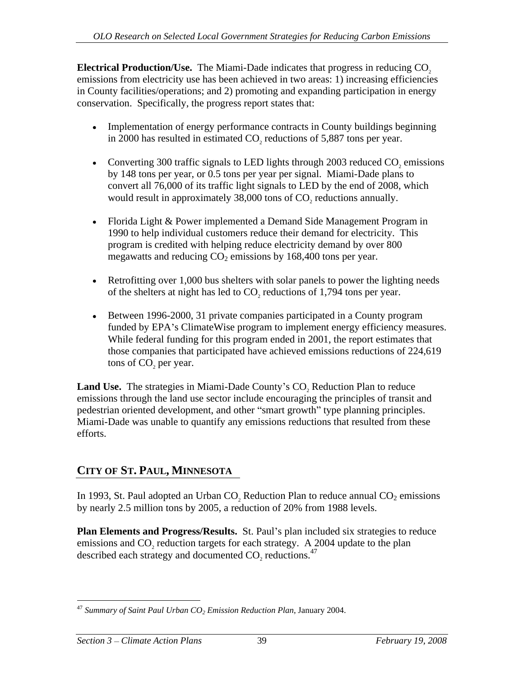**Electrical Production/Use.** The Miami-Dade indicates that progress in reducing CO<sub>2</sub> emissions from electricity use has been achieved in two areas: 1) increasing efficiencies in County facilities/operations; and 2) promoting and expanding participation in energy conservation. Specifically, the progress report states that:

- Implementation of energy performance contracts in County buildings beginning in 2000 has resulted in estimated CO<sub>2</sub> reductions of 5,887 tons per year.
- Converting 300 traffic signals to LED lights through 2003 reduced  $CO<sub>z</sub>$  emissions by 148 tons per year, or 0.5 tons per year per signal. Miami-Dade plans to convert all 76,000 of its traffic light signals to LED by the end of 2008, which would result in approximately 38,000 tons of CO<sub>2</sub> reductions annually.
- Florida Light & Power implemented a Demand Side Management Program in 1990 to help individual customers reduce their demand for electricity. This program is credited with helping reduce electricity demand by over 800 megawatts and reducing  $CO<sub>2</sub>$  emissions by 168,400 tons per year.
- Retrofitting over 1,000 bus shelters with solar panels to power the lighting needs of the shelters at night has led to  $CO$ , reductions of 1,794 tons per year.
- Between 1996-2000, 31 private companies participated in a County program funded by EPA's Climate Wise program to implement energy efficiency measures. While federal funding for this program ended in 2001, the report estimates that those companies that participated have achieved emissions reductions of 224,619 tons of CO<sub>2</sub> per year.

**Land Use.** The strategies in Miami-Dade County's CO<sub>2</sub> Reduction Plan to reduce emissions through the land use sector include encouraging the principles of transit and pedestrian oriented development, and other "smart growth" type planning principles. Miami-Dade was unable to quantify any emissions reductions that resulted from these efforts.

# **CITY OF ST. PAUL, MINNESOTA**

In 1993, St. Paul adopted an Urban CO<sub>2</sub> Reduction Plan to reduce annual  $CO<sub>2</sub>$  emissions by nearly 2.5 million tons by 2005, a reduction of 20% from 1988 levels.

Plan Elements and Progress/Results. St. Paul's plan included six strategies to reduce emissions and  $CO<sub>2</sub>$  reduction targets for each strategy. A 2004 update to the plan described each strategy and documented CO<sub>2</sub> reductions.<sup>47</sup>

<sup>&</sup>lt;sup>47</sup> Summary of Saint Paul Urban CO<sub>2</sub> Emission Reduction Plan, January 2004.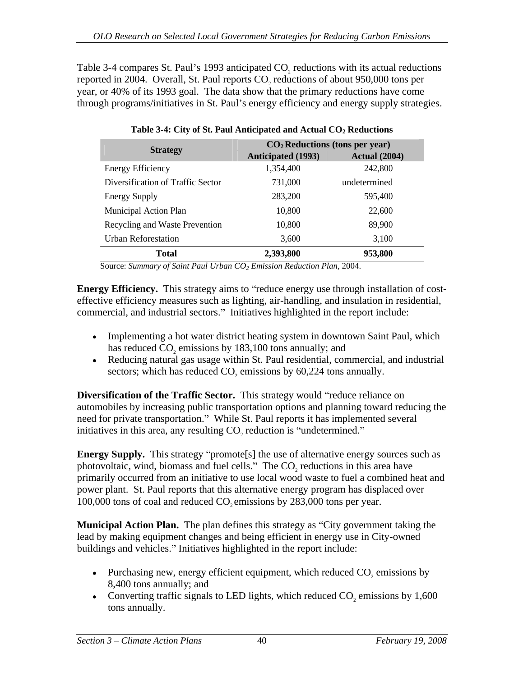Table 3-4 compares St. Paul's 1993 anticipated CO<sub>2</sub> reductions with its actual reductions reported in 2004. Overall, St. Paul reports CO<sub>2</sub> reductions of about 950,000 tons per year, or 40% of its 1993 goal. The data show that the primary reductions have come through programs/initiatives in St. Paul's energy efficiency and energy supply strategies.

|                                   | Table 3-4: City of St. Paul Anticipated and Actual CO <sub>2</sub> Reductions |                      |  |  |
|-----------------------------------|-------------------------------------------------------------------------------|----------------------|--|--|
| <b>Strategy</b>                   | $CO2$ Reductions (tons per year)                                              |                      |  |  |
|                                   | <b>Anticipated (1993)</b>                                                     | <b>Actual</b> (2004) |  |  |
| <b>Energy Efficiency</b>          | 1,354,400                                                                     | 242,800              |  |  |
| Diversification of Traffic Sector | 731,000                                                                       | undetermined         |  |  |
| <b>Energy Supply</b>              | 283,200                                                                       | 595,400              |  |  |
| Municipal Action Plan             | 10,800                                                                        | 22,600               |  |  |
| Recycling and Waste Prevention    | 10,800                                                                        | 89,900               |  |  |
| <b>Urban Reforestation</b>        | 3,600                                                                         | 3,100                |  |  |
| <b>Total</b>                      | 2,393,800                                                                     | 953,800              |  |  |

Source: *Summary of Saint Paul Urban CO<sub>2</sub> Emission Reduction Plan, 2004.* 

**Energy Efficiency.** This strategy aims to "reduce energy use through installation of costeffective efficiency measures such as lighting, air-handling, and insulation in residential, commercial, and industrial sectors." Initiatives highlighted in the report include:

- Implementing a hot water district heating system in downtown Saint Paul, which has reduced CO<sub>2</sub> emissions by 183,100 tons annually; and
- Reducing natural gas usage within St. Paul residential, commercial, and industrial sectors; which has reduced  $CO<sub>2</sub>$  emissions by 60,224 tons annually.

**Diversification of the Traffic Sector.** This strategy would "reduce reliance on automobiles by increasing public transportation options and planning toward reducing the need for private transportation." While St. Paul reports it has implemented several initiatives in this area, any resulting CO<sub>2</sub> reduction is "undetermined."

**Energy Supply.** This strategy "promote[s] the use of alternative energy sources such as photovoltaic, wind, biomass and fuel cells." The CO<sub>2</sub> reductions in this area have primarily occurred from an initiative to use local wood waste to fuel a combined heat and power plant. St. Paul reports that this alternative energy program has displaced over 100,000 tons of coal and reduced CO<sub>2</sub> emissions by 283,000 tons per year.

**Municipal Action Plan.** The plan defines this strategy as "City government taking the lead by making equipment changes and being efficient in energy use in City-owned buildings and vehicles." Initiatives highlighted in the report include:

- Purchasing new, energy efficient equipment, which reduced  $CO<sub>2</sub>$  emissions by 8,400 tons annually; and 8,400 tons annually; and
- Converting traffic signals to LED lights, which reduced  $CO$ , emissions by 1,600 tons annually.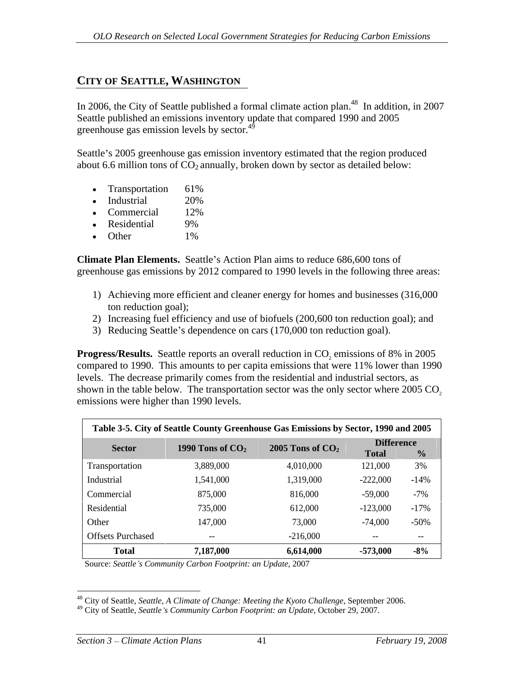# **CITY OF SEATTLE, WASHINGTON**

In 2006, the City of Seattle published a formal climate action plan.<sup>48</sup> In addition, in 2007 Seattle published an emissions inventory update that compared 1990 and 2005 greenhouse gas emission levels by sector.<sup>49</sup>

Seattle's 2005 greenhouse gas emission inventory estimated that the region produced about 6.6 million tons of  $CO<sub>2</sub>$  annually, broken down by sector as detailed below:

- Transportation 61%
- Industrial 20%
- Commercial 12%
- Residential 9%
- Other 1%

**Climate Plan Elements.** Seattle's Action Plan aims to reduce 686,600 tons of greenhouse gas emissions by 2012 compared to 1990 levels in the following three areas:

- 1) Achieving more efficient and cleaner energy for homes and businesses (316,000 ton reduction goal);
- 2) Increasing fuel efficiency and use of biofuels (200,600 ton reduction goal); and
- 3) Reducing Seattle's dependence on cars (170,000 ton reduction goal).

**Progress/Results.** Seattle reports an overall reduction in CO<sub>2</sub> emissions of 8% in 2005 compared to 1990. This amounts to per capita emissions that were 11% lower than 1990 levels. The decrease primarily comes from the residential and industrial sectors, as shown in the table below. The transportation sector was the only sector where  $2005 \text{ CO}$ , emissions were higher than 1990 levels.

| <b>Sector</b>               | 1990 Tons of $CO2$ 2005 Tons of $CO2$ | <b>Difference</b><br><b>Total</b> |           |
|-----------------------------|---------------------------------------|-----------------------------------|-----------|
|                             |                                       |                                   |           |
| 3,889,000<br>Transportation | 4,010,000                             | 121,000                           | $\sim$ 70 |
| 1,541,000<br>Industrial     | 1,319,000                             | $-222,000$                        | $-14%$    |
| 875,000<br>Commercial       | 816.000                               | $-59,000$                         | $-1\%$    |
| 735,000<br>Residential      | 12,000                                | $-123,000$                        | -17%      |
| 147,000<br>Other            | 3,000                                 | $-74,000$                         | -50%      |
| <b>Offsets Purchased</b>    | 216.000                               |                                   |           |
| 7,187,000<br>Total          | 6,614,000                             | -573,000                          | -8%       |

Source: *Seattle s Community Carbon Footprint: an Update*, 2007

 <sup>48</sup> City of Seattle, *Seattle, A Climate of Change: Meeting the Kyoto Challenge*, September 2006.

<sup>49</sup> City of Seattle, *Seattle s Community Carbon Footprint: an Update*, October 29, 2007.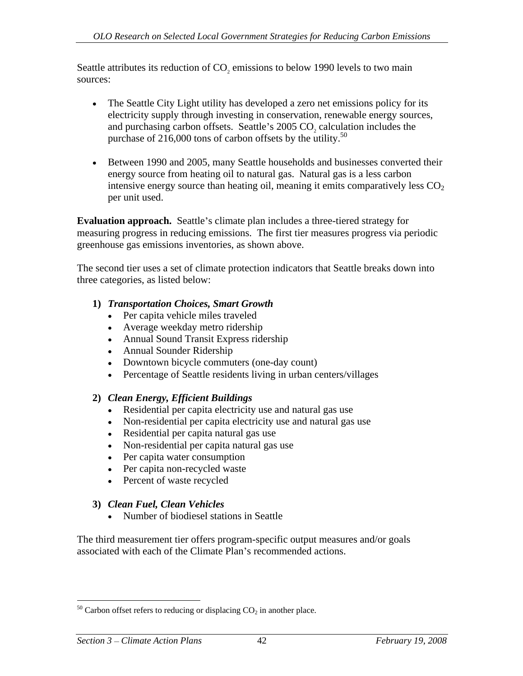Seattle attributes its reduction of  $CO<sub>2</sub>$  emissions to below 1990 levels to two main sources: sources:

- The Seattle City Light utility has developed a zero net emissions policy for its electricity supply through investing in conservation, renewable energy sources, and purchasing carbon offsets. Seattle's 2005 CO<sub>2</sub> calculation includes the purchase of 216,000 tons of carbon offsets by the utility.<sup>50</sup>
- Between 1990 and 2005, many Seattle households and businesses converted their energy source from heating oil to natural gas. Natural gas is a less carbon intensive energy source than heating oil, meaning it emits comparatively less  $CO<sub>2</sub>$ per unit used.

**Evaluation approach.** Seattle's climate plan includes a three-tiered strategy for measuring progress in reducing emissions. The first tier measures progress via periodic greenhouse gas emissions inventories, as shown above.

The second tier uses a set of climate protection indicators that Seattle breaks down into three categories, as listed below:

## **1)** *Transportation Choices, Smart Growth*

- Per capita vehicle miles traveled
- Average weekday metro ridership
- Annual Sound Transit Express ridership
- Annual Sounder Ridership
- Downtown bicycle commuters (one-day count)
- Percentage of Seattle residents living in urban centers/villages

# **2)** *Clean Energy, Efficient Buildings*

- Residential per capita electricity use and natural gas use
- Non-residential per capita electricity use and natural gas use
- Residential per capita natural gas use
- Non-residential per capita natural gas use
- Per capita water consumption
- Per capita non-recycled waste
- Percent of waste recycled

# **3)** *Clean Fuel, Clean Vehicles*

Number of biodiesel stations in Seattle  $\blacksquare$ 

The third measurement tier offers program-specific output measures and/or goals associated with each of the Climate Plan's recommended actions.

 $50$  Carbon offset refers to reducing or displacing  $CO<sub>2</sub>$  in another place.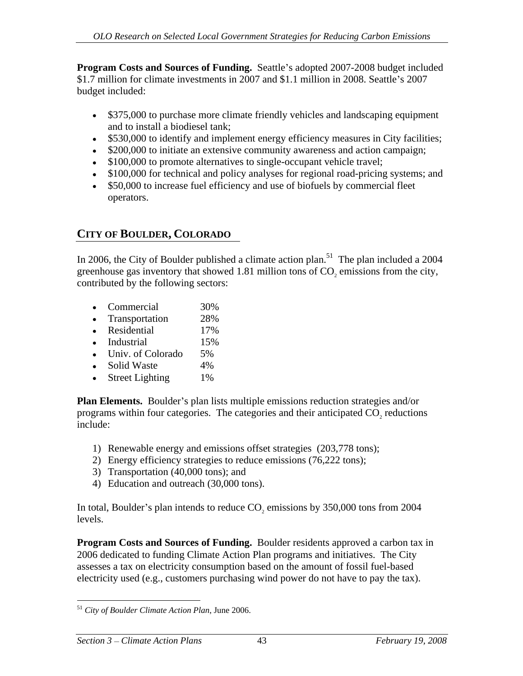**Program Costs and Sources of Funding.** Seattle's adopted 2007-2008 budget included \$1.7 million for climate investments in 2007 and \$1.1 million in 2008. Seattle's 2007 budget included:

- $\bullet$ \$375,000 to purchase more climate friendly vehicles and landscaping equipment and to install a biodiesel tank;
- \$530,000 to identify and implement energy efficiency measures in City facilities;
- \$200,000 to initiate an extensive community awareness and action campaign;
- \$100,000 to promote alternatives to single-occupant vehicle travel;
- \$100,000 for technical and policy analyses for regional road-pricing systems; and
- \$50,000 to increase fuel efficiency and use of biofuels by commercial fleet operators.

# **CITY OF BOULDER, COLORADO**

In 2006, the City of Boulder published a climate action plan.<sup>51</sup> The plan included a 2004 greenhouse gas inventory that showed  $1.81$  million tons of  $CO<sub>2</sub>$  emissions from the city, contributed by the following sectors:

- Commercial 30%
- Transportation 28%
- Residential 17%
- Industrial 15%
- Univ. of Colorado 5%
- Solid Waste  $4\%$
- Street Lighting 1% and 1% and 1% and 1% and 1% and 1% and 1% and 1% and 1% and 1% and 1% and 1% and 1% and 1% and 1% and 1% and 1% and 1% and 1% and 1% and 1% and 1% and 1% and 1% and 1% and 1% and 1% and 1% and 1% and 1%

**Plan Elements.** Boulder's plan lists multiple emissions reduction strategies and/or programs within four categories. The categories and their anticipated  $CO<sub>2</sub>$  reductions include: include:

- 1) Renewable energy and emissions offset strategies (203,778 tons);
- 2) Energy efficiency strategies to reduce emissions (76,222 tons);
- 3) Transportation (40,000 tons); and
- 4) Education and outreach (30,000 tons).

In total, Boulder's plan intends to reduce CO<sub>2</sub> emissions by 350,000 tons from 2004 levels.

**Program Costs and Sources of Funding.** Boulder residents approved a carbon tax in 2006 dedicated to funding Climate Action Plan programs and initiatives. The City assesses a tax on electricity consumption based on the amount of fossil fuel-based electricity used (e.g., customers purchasing wind power do not have to pay the tax).

 <sup>51</sup> *City of Boulder Climate Action Plan*, June 2006.